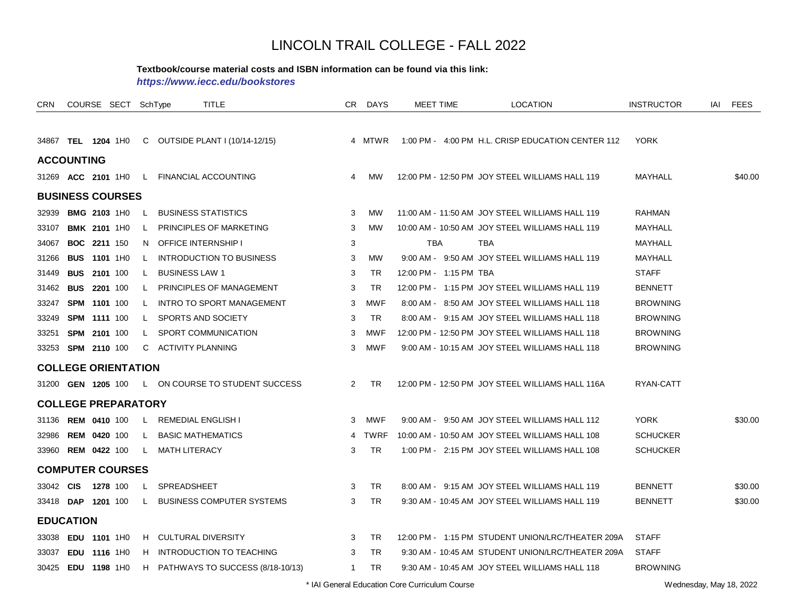#### **Textbook/course material costs and ISBN information can be found via this link:**

*https://www.iecc.edu/bookstores*

| <b>CRN</b> |                            | COURSE SECT SchType |    |                       | <b>TITLE</b>                       | CR             | <b>DAYS</b> | <b>MEET TIME</b>       | LOCATION                                          | <b>INSTRUCTOR</b> | IAI | <b>FEES</b> |
|------------|----------------------------|---------------------|----|-----------------------|------------------------------------|----------------|-------------|------------------------|---------------------------------------------------|-------------------|-----|-------------|
|            |                            |                     |    |                       |                                    |                |             |                        |                                                   |                   |     |             |
|            | 34867 TEL 1204 1H0         |                     |    |                       | C OUTSIDE PLANT I (10/14-12/15)    |                | 4 MTWR      |                        | 1:00 PM - 4:00 PM H.L. CRISP EDUCATION CENTER 112 | <b>YORK</b>       |     |             |
|            | <b>ACCOUNTING</b>          |                     |    |                       |                                    |                |             |                        |                                                   |                   |     |             |
|            | 31269 ACC 2101 1H0         |                     | L. |                       | <b>FINANCIAL ACCOUNTING</b>        | 4              | <b>MW</b>   |                        | 12:00 PM - 12:50 PM JOY STEEL WILLIAMS HALL 119   | MAYHALL           |     | \$40.00     |
|            | <b>BUSINESS COURSES</b>    |                     |    |                       |                                    |                |             |                        |                                                   |                   |     |             |
| 32939      |                            | <b>BMG 2103 1H0</b> | L  |                       | <b>BUSINESS STATISTICS</b>         | 3              | МW          |                        | 11:00 AM - 11:50 AM JOY STEEL WILLIAMS HALL 119   | <b>RAHMAN</b>     |     |             |
| 33107      |                            | <b>BMK 2101 1H0</b> | L. |                       | PRINCIPLES OF MARKETING            | 3              | <b>MW</b>   |                        | 10:00 AM - 10:50 AM JOY STEEL WILLIAMS HALL 119   | MAYHALL           |     |             |
| 34067      | <b>BOC 2211 150</b>        |                     | N. |                       | <b>OFFICE INTERNSHIP I</b>         | 3              |             | <b>TBA</b>             | <b>TBA</b>                                        | <b>MAYHALL</b>    |     |             |
| 31266      | <b>BUS 1101 1H0</b>        |                     | L. |                       | <b>INTRODUCTION TO BUSINESS</b>    | 3              | МW          |                        | 9:00 AM - 9:50 AM JOY STEEL WILLIAMS HALL 119     | MAYHALL           |     |             |
| 31449      | <b>BUS 2101 100</b>        |                     | L. | <b>BUSINESS LAW 1</b> |                                    | 3              | <b>TR</b>   | 12:00 PM - 1:15 PM TBA |                                                   | <b>STAFF</b>      |     |             |
| 31462      | <b>BUS</b>                 | 2201 100            | L. |                       | PRINCIPLES OF MANAGEMENT           | 3              | <b>TR</b>   |                        | 12:00 PM - 1:15 PM JOY STEEL WILLIAMS HALL 119    | <b>BENNETT</b>    |     |             |
| 33247      | <b>SPM 1101 100</b>        |                     | L. |                       | <b>INTRO TO SPORT MANAGEMENT</b>   | 3              | MWF         |                        | 8:00 AM - 8:50 AM JOY STEEL WILLIAMS HALL 118     | <b>BROWNING</b>   |     |             |
| 33249      | SPM 1111 100               |                     | L. |                       | SPORTS AND SOCIETY                 | 3              | <b>TR</b>   |                        | 8:00 AM - 9:15 AM JOY STEEL WILLIAMS HALL 118     | <b>BROWNING</b>   |     |             |
| 33251      | SPM 2101 100               |                     | L  |                       | SPORT COMMUNICATION                | 3              | <b>MWF</b>  |                        | 12:00 PM - 12:50 PM JOY STEEL WILLIAMS HALL 118   | <b>BROWNING</b>   |     |             |
| 33253      | <b>SPM 2110 100</b>        |                     |    | C ACTIVITY PLANNING   |                                    | 3              | MWF         |                        | 9:00 AM - 10:15 AM JOY STEEL WILLIAMS HALL 118    | <b>BROWNING</b>   |     |             |
|            | <b>COLLEGE ORIENTATION</b> |                     |    |                       |                                    |                |             |                        |                                                   |                   |     |             |
|            | 31200 GEN 1205 100         |                     |    |                       | L ON COURSE TO STUDENT SUCCESS     | $\overline{2}$ | <b>TR</b>   |                        | 12:00 PM - 12:50 PM JOY STEEL WILLIAMS HALL 116A  | RYAN-CATT         |     |             |
|            | <b>COLLEGE PREPARATORY</b> |                     |    |                       |                                    |                |             |                        |                                                   |                   |     |             |
| 31136      | <b>REM 0410 100</b>        |                     | L. |                       | <b>REMEDIAL ENGLISH I</b>          | 3              | MWF         |                        | 9:00 AM - 9:50 AM JOY STEEL WILLIAMS HALL 112     | <b>YORK</b>       |     | \$30.00     |
| 32986      | <b>REM 0420 100</b>        |                     | L  |                       | <b>BASIC MATHEMATICS</b>           |                | 4 TWRF      |                        | 10:00 AM - 10:50 AM JOY STEEL WILLIAMS HALL 108   | <b>SCHUCKER</b>   |     |             |
| 33960      | <b>REM 0422 100</b>        |                     | L. | <b>MATH LITERACY</b>  |                                    | 3              | <b>TR</b>   |                        | 1:00 PM - 2:15 PM JOY STEEL WILLIAMS HALL 108     | <b>SCHUCKER</b>   |     |             |
|            | <b>COMPUTER COURSES</b>    |                     |    |                       |                                    |                |             |                        |                                                   |                   |     |             |
| 33042 CIS  |                            | 1278 100            | L  | <b>SPREADSHEET</b>    |                                    | 3              | <b>TR</b>   |                        | 8:00 AM - 9:15 AM JOY STEEL WILLIAMS HALL 119     | <b>BENNETT</b>    |     | \$30.00     |
|            | 33418 DAP 1201 100         |                     | L. |                       | <b>BUSINESS COMPUTER SYSTEMS</b>   | 3              | TR.         |                        | 9:30 AM - 10:45 AM JOY STEEL WILLIAMS HALL 119    | <b>BENNETT</b>    |     | \$30.00     |
|            | <b>EDUCATION</b>           |                     |    |                       |                                    |                |             |                        |                                                   |                   |     |             |
| 33038      | EDU 1101 1H0               |                     | H. |                       | <b>CULTURAL DIVERSITY</b>          | 3              | TR          |                        | 12:00 PM - 1:15 PM STUDENT UNION/LRC/THEATER 209A | <b>STAFF</b>      |     |             |
| 33037      | EDU 1116 1H0               |                     | н  |                       | INTRODUCTION TO TEACHING           | 3              | <b>TR</b>   |                        | 9:30 AM - 10:45 AM STUDENT UNION/LRC/THEATER 209A | <b>STAFF</b>      |     |             |
|            | 30425 EDU 1198 1H0         |                     |    |                       | H PATHWAYS TO SUCCESS (8/18-10/13) | 1              | <b>TR</b>   |                        | 9:30 AM - 10:45 AM JOY STEEL WILLIAMS HALL 118    | <b>BROWNING</b>   |     |             |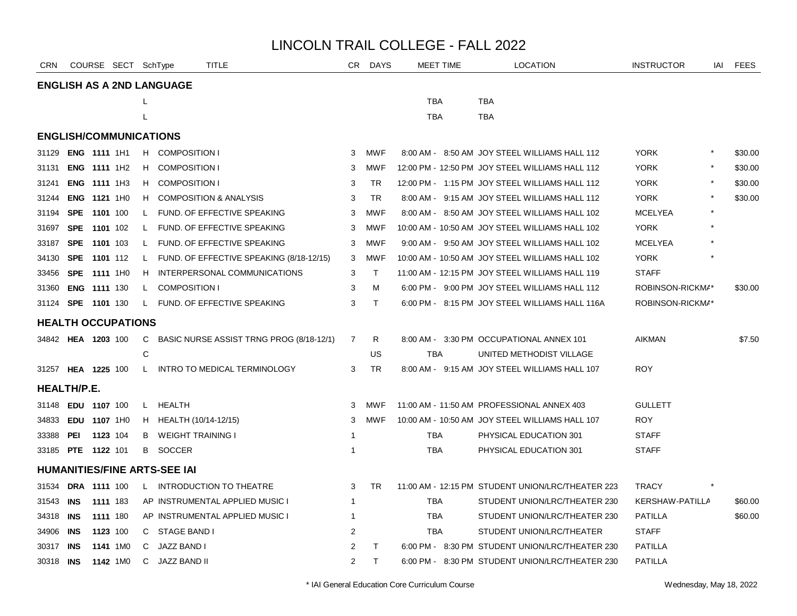| <b>CRN</b> |                     | COURSE SECT SchType           |              |                                     | <b>TITLE</b>                             | CR             | <b>DAYS</b>  | <b>MEET TIME</b> | <b>LOCATION</b>                                   | <b>INSTRUCTOR</b> | IAI | <b>FEES</b> |
|------------|---------------------|-------------------------------|--------------|-------------------------------------|------------------------------------------|----------------|--------------|------------------|---------------------------------------------------|-------------------|-----|-------------|
|            |                     |                               |              | <b>ENGLISH AS A 2ND LANGUAGE</b>    |                                          |                |              |                  |                                                   |                   |     |             |
|            |                     |                               | L            |                                     |                                          |                |              | <b>TBA</b>       | <b>TBA</b>                                        |                   |     |             |
|            |                     |                               | L            |                                     |                                          |                |              | <b>TBA</b>       | <b>TBA</b>                                        |                   |     |             |
|            |                     | <b>ENGLISH/COMMUNICATIONS</b> |              |                                     |                                          |                |              |                  |                                                   |                   |     |             |
| 31129      |                     | ENG 1111 1H1                  |              | H COMPOSITION I                     |                                          | 3              | <b>MWF</b>   |                  | 8:00 AM - 8:50 AM JOY STEEL WILLIAMS HALL 112     | <b>YORK</b>       |     | \$30.00     |
| 31131      |                     | <b>ENG 1111 1H2</b>           | H.           | <b>COMPOSITION I</b>                |                                          | 3              | <b>MWF</b>   |                  | 12:00 PM - 12:50 PM JOY STEEL WILLIAMS HALL 112   | <b>YORK</b>       |     | \$30.00     |
| 31241      |                     | ENG 1111 1H3                  | H            | <b>COMPOSITION I</b>                |                                          | 3              | <b>TR</b>    |                  | 12:00 PM - 1:15 PM JOY STEEL WILLIAMS HALL 112    | <b>YORK</b>       |     | \$30.00     |
| 31244      |                     | ENG 1121 1H0                  | H.           |                                     | <b>COMPOSITION &amp; ANALYSIS</b>        | 3              | <b>TR</b>    |                  | 8:00 AM - 9:15 AM JOY STEEL WILLIAMS HALL 112     | <b>YORK</b>       |     | \$30.00     |
| 31194      | <b>SPE</b>          | 1101 100                      | $\mathsf{L}$ |                                     | FUND. OF EFFECTIVE SPEAKING              | 3              | <b>MWF</b>   |                  | 8:00 AM - 8:50 AM JOY STEEL WILLIAMS HALL 102     | <b>MCELYEA</b>    |     |             |
| 31697      |                     | SPE 1101 102                  | L.           |                                     | FUND. OF EFFECTIVE SPEAKING              | 3              | <b>MWF</b>   |                  | 10:00 AM - 10:50 AM JOY STEEL WILLIAMS HALL 102   | <b>YORK</b>       |     |             |
| 33187      | <b>SPE</b>          | 1101 103                      | $\mathsf{L}$ |                                     | FUND. OF EFFECTIVE SPEAKING              | 3              | <b>MWF</b>   |                  | 9:00 AM - 9:50 AM JOY STEEL WILLIAMS HALL 102     | <b>MCELYEA</b>    |     |             |
| 34130      |                     | <b>SPE 1101</b> 112           | $\mathsf{L}$ |                                     | FUND. OF EFFECTIVE SPEAKING (8/18-12/15) | 3              | MWF          |                  | 10:00 AM - 10:50 AM JOY STEEL WILLIAMS HALL 102   | <b>YORK</b>       |     |             |
| 33456      | <b>SPE</b>          | 1111 1H0                      | H            |                                     | INTERPERSONAL COMMUNICATIONS             | 3              | $\top$       |                  | 11:00 AM - 12:15 PM JOY STEEL WILLIAMS HALL 119   | <b>STAFF</b>      |     |             |
| 31360      |                     | ENG 1111 130                  | L.           | <b>COMPOSITION I</b>                |                                          | 3              | M            |                  | 6:00 PM - 9:00 PM JOY STEEL WILLIAMS HALL 112     | ROBINSON-RICKMA*  |     | \$30.00     |
|            | 31124 SPE 1101 130  |                               | $\mathsf{L}$ |                                     | FUND. OF EFFECTIVE SPEAKING              | 3              | $\mathsf{T}$ |                  | 6:00 PM - 8:15 PM JOY STEEL WILLIAMS HALL 116A    | ROBINSON-RICKMA*  |     |             |
|            |                     | <b>HEALTH OCCUPATIONS</b>     |              |                                     |                                          |                |              |                  |                                                   |                   |     |             |
|            | 34842 HEA 1203 100  |                               | C            |                                     | BASIC NURSE ASSIST TRNG PROG (8/18-12/1) | $\overline{7}$ | R            |                  | 8:00 AM - 3:30 PM OCCUPATIONAL ANNEX 101          | <b>AIKMAN</b>     |     | \$7.50      |
|            |                     |                               | C            |                                     |                                          |                | US           | <b>TBA</b>       | UNITED METHODIST VILLAGE                          |                   |     |             |
|            | 31257 HEA 1225 100  |                               | $\mathsf{L}$ |                                     | INTRO TO MEDICAL TERMINOLOGY             | 3              | <b>TR</b>    |                  | 8:00 AM - 9:15 AM JOY STEEL WILLIAMS HALL 107     | <b>ROY</b>        |     |             |
|            | <b>HEALTH/P.E.</b>  |                               |              |                                     |                                          |                |              |                  |                                                   |                   |     |             |
| 31148      | <b>EDU 1107 100</b> |                               |              | L HEALTH                            |                                          | 3              | MWF          |                  | 11:00 AM - 11:50 AM PROFESSIONAL ANNEX 403        | <b>GULLETT</b>    |     |             |
| 34833      |                     | EDU 1107 1H0                  |              | H HEALTH (10/14-12/15)              |                                          | 3              | MWF          |                  | 10:00 AM - 10:50 AM JOY STEEL WILLIAMS HALL 107   | <b>ROY</b>        |     |             |
| 33388      | PEI                 | 1123 104                      | B            | WEIGHT TRAINING I                   |                                          | -1             |              | TBA              | PHYSICAL EDUCATION 301                            | <b>STAFF</b>      |     |             |
|            | 33185 PTE 1122 101  |                               | B            | SOCCER                              |                                          | $\overline{1}$ |              | <b>TBA</b>       | PHYSICAL EDUCATION 301                            | <b>STAFF</b>      |     |             |
|            |                     |                               |              | <b>HUMANITIES/FINE ARTS-SEE IAI</b> |                                          |                |              |                  |                                                   |                   |     |             |
| 31534      |                     | <b>DRA 1111 100</b>           |              |                                     | L INTRODUCTION TO THEATRE                | 3              | <b>TR</b>    |                  | 11:00 AM - 12:15 PM STUDENT UNION/LRC/THEATER 223 | <b>TRACY</b>      |     |             |
| 31543      | INS                 | 1111 183                      |              |                                     | AP INSTRUMENTAL APPLIED MUSIC I          | $\mathbf 1$    |              | TBA              | STUDENT UNION/LRC/THEATER 230                     | KERSHAW-PATILLA   |     | \$60.00     |
| 34318      | INS                 | 1111 180                      |              |                                     | AP INSTRUMENTAL APPLIED MUSIC I          | -1             |              | TBA              | STUDENT UNION/LRC/THEATER 230                     | <b>PATILLA</b>    |     | \$60.00     |
| 34906      | INS                 | 1123 100                      | C            | STAGE BAND I                        |                                          | $\overline{2}$ |              | <b>TBA</b>       | STUDENT UNION/LRC/THEATER                         | <b>STAFF</b>      |     |             |
| 30317      | <b>INS</b>          | 1141 1M0                      | C.           | JAZZ BAND I                         |                                          | 2              | T            |                  | 6:00 PM - 8:30 PM STUDENT UNION/LRC/THEATER 230   | <b>PATILLA</b>    |     |             |
| 30318 INS  |                     | 1142 1M0                      | C            | <b>JAZZ BAND II</b>                 |                                          | $\overline{2}$ | $\mathsf{T}$ |                  | 6:00 PM - 8:30 PM STUDENT UNION/LRC/THEATER 230   | <b>PATILLA</b>    |     |             |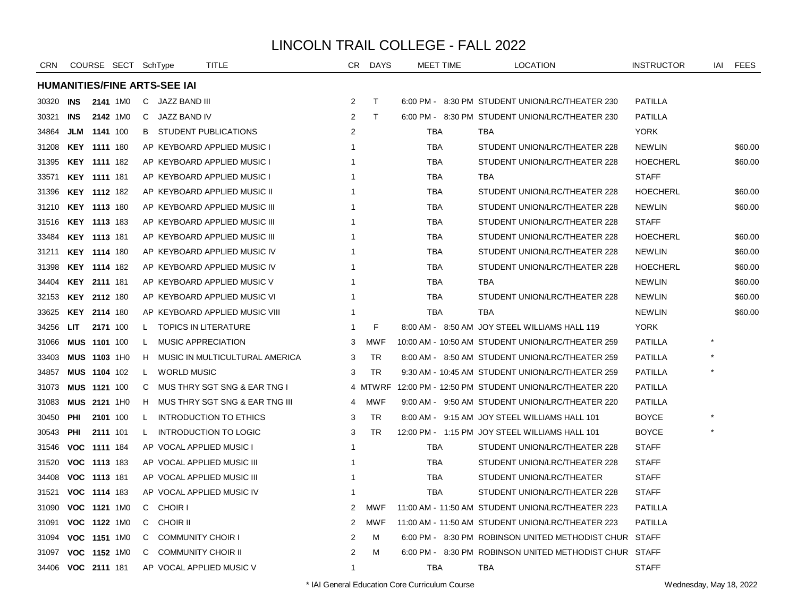| <b>CRN</b>         |                     |          | COURSE SECT SchType |    |                                     | TITLE                            | CR.                     | <b>DAYS</b>  | <b>MEET TIME</b> | <b>LOCATION</b>                                        | <b>INSTRUCTOR</b> | iai | <b>FEES</b> |
|--------------------|---------------------|----------|---------------------|----|-------------------------------------|----------------------------------|-------------------------|--------------|------------------|--------------------------------------------------------|-------------------|-----|-------------|
|                    |                     |          |                     |    | <b>HUMANITIES/FINE ARTS-SEE IAI</b> |                                  |                         |              |                  |                                                        |                   |     |             |
| 30320              | INS                 |          | 2141 1M0            |    | C JAZZ BAND III                     |                                  | 2                       | $\mathsf{T}$ |                  | 6:00 PM - 8:30 PM STUDENT UNION/LRC/THEATER 230        | <b>PATILLA</b>    |     |             |
| 30321              | <b>INS</b>          |          | 2142 1M0            |    | C JAZZ BAND IV                      |                                  | 2                       | T.           |                  | 6:00 PM - 8:30 PM STUDENT UNION/LRC/THEATER 230        | <b>PATILLA</b>    |     |             |
| 34864              | JLM 1141 100        |          |                     | B. |                                     | STUDENT PUBLICATIONS             | 2                       |              | TBA              | TBA                                                    | <b>YORK</b>       |     |             |
| 31208              | KEY 1111 180        |          |                     |    |                                     | AP KEYBOARD APPLIED MUSIC I      | -1                      |              | <b>TBA</b>       | STUDENT UNION/LRC/THEATER 228                          | <b>NEWLIN</b>     |     | \$60.00     |
| 31395              | <b>KEY 1111 182</b> |          |                     |    |                                     | AP KEYBOARD APPLIED MUSIC I      | -1                      |              | <b>TBA</b>       | STUDENT UNION/LRC/THEATER 228                          | <b>HOECHERL</b>   |     | \$60.00     |
| 33571              | <b>KEY 1111 181</b> |          |                     |    |                                     | AP KEYBOARD APPLIED MUSIC I      | $\overline{1}$          |              | <b>TBA</b>       | TBA                                                    | <b>STAFF</b>      |     |             |
| 31396              | <b>KEY 1112 182</b> |          |                     |    |                                     | AP KEYBOARD APPLIED MUSIC II     | -1                      |              | TBA              | STUDENT UNION/LRC/THEATER 228                          | <b>HOECHERL</b>   |     | \$60.00     |
| 31210              | <b>KEY 1113 180</b> |          |                     |    |                                     | AP KEYBOARD APPLIED MUSIC III    | -1                      |              | <b>TBA</b>       | STUDENT UNION/LRC/THEATER 228                          | <b>NEWLIN</b>     |     | \$60.00     |
| 31516              | <b>KEY 1113 183</b> |          |                     |    |                                     | AP KEYBOARD APPLIED MUSIC III    | 1                       |              | TBA              | STUDENT UNION/LRC/THEATER 228                          | <b>STAFF</b>      |     |             |
| 33484              | <b>KEY 1113 181</b> |          |                     |    |                                     | AP KEYBOARD APPLIED MUSIC III    | -1                      |              | TBA              | STUDENT UNION/LRC/THEATER 228                          | <b>HOECHERL</b>   |     | \$60.00     |
| 31211              | <b>KEY 1114 180</b> |          |                     |    |                                     | AP KEYBOARD APPLIED MUSIC IV     | -1                      |              | <b>TBA</b>       | STUDENT UNION/LRC/THEATER 228                          | <b>NEWLIN</b>     |     | \$60.00     |
| 31398              | KEY 1114 182        |          |                     |    |                                     | AP KEYBOARD APPLIED MUSIC IV     | 1                       |              | <b>TBA</b>       | STUDENT UNION/LRC/THEATER 228                          | <b>HOECHERL</b>   |     | \$60.00     |
| 34404              | <b>KEY 2111 181</b> |          |                     |    |                                     | AP KEYBOARD APPLIED MUSIC V      | -1                      |              | <b>TBA</b>       | TBA                                                    | <b>NEWLIN</b>     |     | \$60.00     |
| 32153              | <b>KEY 2112 180</b> |          |                     |    |                                     | AP KEYBOARD APPLIED MUSIC VI     | -1                      |              | TBA              | STUDENT UNION/LRC/THEATER 228                          | <b>NEWLIN</b>     |     | \$60.00     |
| 33625              | <b>KEY 2114 180</b> |          |                     |    |                                     | AP KEYBOARD APPLIED MUSIC VIII   | -1                      |              | <b>TBA</b>       | TBA                                                    | <b>NEWLIN</b>     |     | \$60.00     |
| 34256              | LIT.                | 2171 100 |                     | L  |                                     | <b>TOPICS IN LITERATURE</b>      | -1                      | F            |                  | 8:00 AM - 8:50 AM JOY STEEL WILLIAMS HALL 119          | <b>YORK</b>       |     |             |
| 31066              | <b>MUS 1101 100</b> |          |                     | L. | <b>MUSIC APPRECIATION</b>           |                                  | 3                       | <b>MWF</b>   |                  | 10:00 AM - 10:50 AM STUDENT UNION/LRC/THEATER 259      | <b>PATILLA</b>    |     |             |
| 33403              | MUS 1103 1H0        |          |                     |    |                                     | H MUSIC IN MULTICULTURAL AMERICA | 3                       | TR           |                  | 8:00 AM - 8:50 AM STUDENT UNION/LRC/THEATER 259        | <b>PATILLA</b>    |     |             |
| 34857              | MUS 1104 102        |          |                     | L. | <b>WORLD MUSIC</b>                  |                                  | 3                       | <b>TR</b>    |                  | 9:30 AM - 10:45 AM STUDENT UNION/LRC/THEATER 259       | PATILLA           |     |             |
| 31073              | MUS 1121 100        |          |                     | C  |                                     | MUS THRY SGT SNG & EAR TNG I     |                         | 4 MTWRF      |                  | 12:00 PM - 12:50 PM STUDENT UNION/LRC/THEATER 220      | <b>PATILLA</b>    |     |             |
| 31083              | MUS 2121 1H0        |          |                     | H  |                                     | MUS THRY SGT SNG & EAR TNG III   | 4                       | <b>MWF</b>   |                  | 9:00 AM - 9:50 AM STUDENT UNION/LRC/THEATER 220        | <b>PATILLA</b>    |     |             |
| 30450              | PHI                 | 2101 100 |                     | L. |                                     | INTRODUCTION TO ETHICS           | 3                       | TR           |                  | 8:00 AM - 9:15 AM JOY STEEL WILLIAMS HALL 101          | <b>BOYCE</b>      |     |             |
| 30543              | <b>PHI</b>          | 2111 101 |                     | L. |                                     | INTRODUCTION TO LOGIC            | 3                       | <b>TR</b>    |                  | 12:00 PM - 1:15 PM JOY STEEL WILLIAMS HALL 101         | <b>BOYCE</b>      |     |             |
| 31546              | VOC 1111 184        |          |                     |    |                                     | AP VOCAL APPLIED MUSIC I         | $\overline{\mathbf{1}}$ |              | <b>TBA</b>       | STUDENT UNION/LRC/THEATER 228                          | <b>STAFF</b>      |     |             |
| 31520              | VOC 1113 183        |          |                     |    |                                     | AP VOCAL APPLIED MUSIC III       | -1                      |              | <b>TBA</b>       | STUDENT UNION/LRC/THEATER 228                          | <b>STAFF</b>      |     |             |
| 34408              | VOC 1113 181        |          |                     |    |                                     | AP VOCAL APPLIED MUSIC III       | -1                      |              | TBA              | STUDENT UNION/LRC/THEATER                              | <b>STAFF</b>      |     |             |
| 31521              | VOC 1114 183        |          |                     |    |                                     | AP VOCAL APPLIED MUSIC IV        | -1                      |              | <b>TBA</b>       | STUDENT UNION/LRC/THEATER 228                          | <b>STAFF</b>      |     |             |
| 31090              | VOC 1121 1M0        |          |                     |    | C CHOIR I                           |                                  | 2                       | <b>MWF</b>   |                  | 11:00 AM - 11:50 AM STUDENT UNION/LRC/THEATER 223      | <b>PATILLA</b>    |     |             |
| 31091              | VOC 1122 1M0        |          |                     | C  | <b>CHOIR II</b>                     |                                  | $\overline{2}$          | <b>MWF</b>   |                  | 11:00 AM - 11:50 AM STUDENT UNION/LRC/THEATER 223      | <b>PATILLA</b>    |     |             |
| 31094              | VOC 1151 1M0        |          |                     | C  | <b>COMMUNITY CHOIR I</b>            |                                  | 2                       | м            |                  | 6:00 PM - 8:30 PM ROBINSON UNITED METHODIST CHUR       | STAFF             |     |             |
| 31097              | VOC 1152 1M0        |          |                     | C  | <b>COMMUNITY CHOIR II</b>           |                                  | 2                       | M            |                  | 6:00 PM - 8:30 PM ROBINSON UNITED METHODIST CHUR STAFF |                   |     |             |
| 34406 VOC 2111 181 |                     |          |                     |    |                                     | AP VOCAL APPLIED MUSIC V         | $\overline{1}$          |              | <b>TBA</b>       | TBA                                                    | <b>STAFF</b>      |     |             |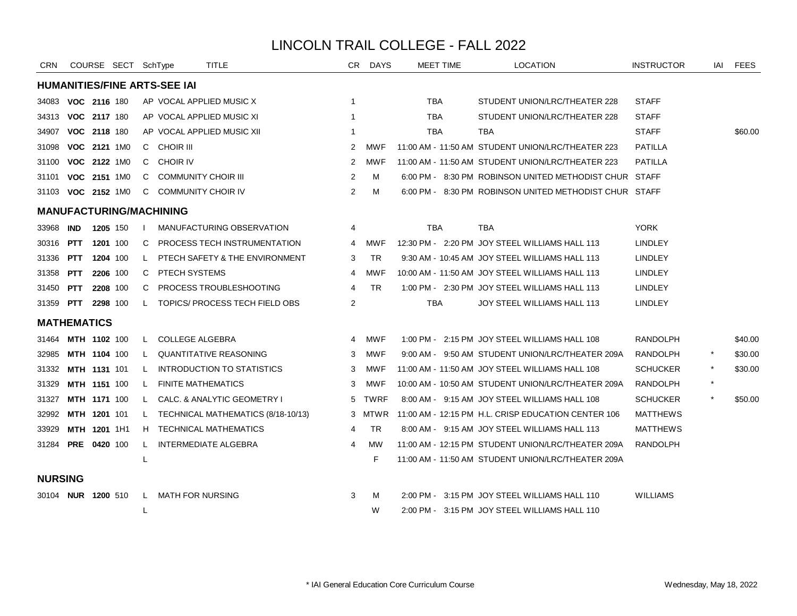| <b>CRN</b>         |                           |          | COURSE SECT SchType |    |                                     | TITLE                              |                | CR DAYS    | <b>MEET TIME</b> | <b>LOCATION</b>                                        | <b>INSTRUCTOR</b> |         | IAI FEES |
|--------------------|---------------------------|----------|---------------------|----|-------------------------------------|------------------------------------|----------------|------------|------------------|--------------------------------------------------------|-------------------|---------|----------|
|                    |                           |          |                     |    | <b>HUMANITIES/FINE ARTS-SEE IAI</b> |                                    |                |            |                  |                                                        |                   |         |          |
| 34083              | VOC 2116 180              |          |                     |    |                                     | AP VOCAL APPLIED MUSIC X           | 1              |            | <b>TBA</b>       | STUDENT UNION/LRC/THEATER 228                          | <b>STAFF</b>      |         |          |
| 34313              | VOC 2117 180              |          |                     |    |                                     | AP VOCAL APPLIED MUSIC XI          |                |            | <b>TBA</b>       | STUDENT UNION/LRC/THEATER 228                          | <b>STAFF</b>      |         |          |
| 34907              | VOC 2118 180              |          |                     |    |                                     | AP VOCAL APPLIED MUSIC XII         |                |            | <b>TBA</b>       | <b>TBA</b>                                             | <b>STAFF</b>      |         | \$60.00  |
| 31098              | VOC 2121 1M0              |          |                     |    | C CHOIR III                         |                                    | 2              | <b>MWF</b> |                  | 11:00 AM - 11:50 AM STUDENT UNION/LRC/THEATER 223      | <b>PATILLA</b>    |         |          |
| 31100              | VOC 2122 1M0              |          |                     | C. | CHOIR IV                            |                                    | 2              | MWF        |                  | 11:00 AM - 11:50 AM STUDENT UNION/LRC/THEATER 223      | <b>PATILLA</b>    |         |          |
| 31101              | VOC 2151 1M0              |          |                     | C  | <b>COMMUNITY CHOIR III</b>          |                                    | 2              | м          |                  | 6:00 PM - 8:30 PM ROBINSON UNITED METHODIST CHUR STAFF |                   |         |          |
|                    | 31103 VOC 2152 1M0        |          |                     | C  | <b>COMMUNITY CHOIR IV</b>           |                                    | 2              | м          |                  | 6:00 PM - 8:30 PM ROBINSON UNITED METHODIST CHUR STAFF |                   |         |          |
|                    |                           |          |                     |    | <b>MANUFACTURING/MACHINING</b>      |                                    |                |            |                  |                                                        |                   |         |          |
| 33968              | <b>IND</b>                | 1205 150 |                     |    |                                     | MANUFACTURING OBSERVATION          | 4              |            | <b>TBA</b>       | <b>TBA</b>                                             | <b>YORK</b>       |         |          |
| 30316              | <b>PTT</b>                | 1201 100 |                     | C  |                                     | PROCESS TECH INSTRUMENTATION       | 4              | MWF        |                  | 12:30 PM - 2:20 PM JOY STEEL WILLIAMS HALL 113         | <b>LINDLEY</b>    |         |          |
| 31336              | <b>PTT</b>                | 1204 100 |                     | L. |                                     | PTECH SAFETY & THE ENVIRONMENT     | 3              | <b>TR</b>  |                  | 9:30 AM - 10:45 AM JOY STEEL WILLIAMS HALL 113         | <b>LINDLEY</b>    |         |          |
| 31358              | <b>PTT</b>                | 2206 100 |                     | C  | PTECH SYSTEMS                       |                                    | 4              | <b>MWF</b> |                  | 10:00 AM - 11:50 AM JOY STEEL WILLIAMS HALL 113        | <b>LINDLEY</b>    |         |          |
| 31450 <b>PTT</b>   |                           | 2208 100 |                     | C  |                                     | <b>PROCESS TROUBLESHOOTING</b>     | 4              | <b>TR</b>  |                  | 1:00 PM - 2:30 PM JOY STEEL WILLIAMS HALL 113          | <b>LINDLEY</b>    |         |          |
| 31359 <b>PTT</b>   |                           | 2298 100 |                     | L  |                                     | TOPICS/ PROCESS TECH FIELD OBS     | 2              |            | TBA              | JOY STEEL WILLIAMS HALL 113                            | <b>LINDLEY</b>    |         |          |
| <b>MATHEMATICS</b> |                           |          |                     |    |                                     |                                    |                |            |                  |                                                        |                   |         |          |
|                    | 31464 MTH 1102 100        |          |                     | L. | <b>COLLEGE ALGEBRA</b>              |                                    | $\overline{4}$ | <b>MWF</b> |                  | 1:00 PM - 2:15 PM JOY STEEL WILLIAMS HALL 108          | <b>RANDOLPH</b>   |         | \$40.00  |
| 32985              | MTH 1104 100              |          |                     | L. |                                     | <b>QUANTITATIVE REASONING</b>      | 3              | <b>MWF</b> |                  | 9:00 AM - 9:50 AM STUDENT UNION/LRC/THEATER 209A       | RANDOLPH          |         | \$30.00  |
| 31332              | MTH 1131 101              |          |                     | L  |                                     | <b>INTRODUCTION TO STATISTICS</b>  | 3              | MWF        |                  | 11:00 AM - 11:50 AM JOY STEEL WILLIAMS HALL 108        | <b>SCHUCKER</b>   |         | \$30.00  |
| 31329              | <b>MTH 1151 100</b>       |          |                     | L  | <b>FINITE MATHEMATICS</b>           |                                    | 3              | MWF        |                  | 10:00 AM - 10:50 AM STUDENT UNION/LRC/THEATER 209A     | <b>RANDOLPH</b>   | $\star$ |          |
| 31327              | MTH 1171 100              |          |                     | L. |                                     | CALC. & ANALYTIC GEOMETRY I        |                | 5 TWRF     |                  | 8:00 AM - 9:15 AM JOY STEEL WILLIAMS HALL 108          | <b>SCHUCKER</b>   | $\star$ | \$50.00  |
| 32992              | <b>MTH 1201 101</b>       |          |                     | L. |                                     | TECHNICAL MATHEMATICS (8/18-10/13) |                | 3 MTWR     |                  | 11:00 AM - 12:15 PM H.L. CRISP EDUCATION CENTER 106    | <b>MATTHEWS</b>   |         |          |
| 33929              | MTH 1201 1H1              |          |                     | H  |                                     | TECHNICAL MATHEMATICS              | 4              | <b>TR</b>  |                  | 8:00 AM - 9:15 AM JOY STEEL WILLIAMS HALL 113          | <b>MATTHEWS</b>   |         |          |
| 31284 PRE 0420 100 |                           |          |                     | L  |                                     | <b>INTERMEDIATE ALGEBRA</b>        | 4              | MW         |                  | 11:00 AM - 12:15 PM STUDENT UNION/LRC/THEATER 209A     | <b>RANDOLPH</b>   |         |          |
|                    |                           |          |                     | L  |                                     |                                    |                | F          |                  | 11:00 AM - 11:50 AM STUDENT UNION/LRC/THEATER 209A     |                   |         |          |
| <b>NURSING</b>     |                           |          |                     |    |                                     |                                    |                |            |                  |                                                        |                   |         |          |
|                    | 30104 <b>NUR 1200</b> 510 |          |                     | L. | <b>MATH FOR NURSING</b>             |                                    | 3              | м          |                  | 2:00 PM - 3:15 PM JOY STEEL WILLIAMS HALL 110          | <b>WILLIAMS</b>   |         |          |
|                    |                           |          |                     | L  |                                     |                                    |                | W          |                  | 2:00 PM - 3:15 PM JOY STEEL WILLIAMS HALL 110          |                   |         |          |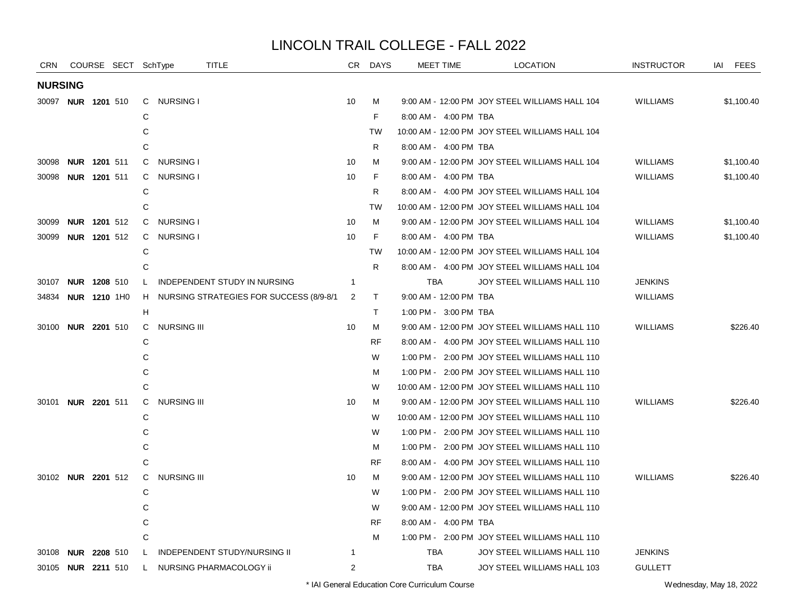| <b>CRN</b>                |                     |                     | COURSE SECT SchType |              | <b>TITLE</b>                               | CR             | <b>DAYS</b> | MEET TIME              | <b>LOCATION</b>                                 | <b>INSTRUCTOR</b> | IAI<br><b>FEES</b> |
|---------------------------|---------------------|---------------------|---------------------|--------------|--------------------------------------------|----------------|-------------|------------------------|-------------------------------------------------|-------------------|--------------------|
| <b>NURSING</b>            |                     |                     |                     |              |                                            |                |             |                        |                                                 |                   |                    |
| 30097 NUR 1201 510        |                     |                     |                     |              | C NURSING I                                | 10             | м           |                        | 9:00 AM - 12:00 PM JOY STEEL WILLIAMS HALL 104  | <b>WILLIAMS</b>   | \$1,100.40         |
|                           |                     |                     |                     | C            |                                            |                | F.          | 8:00 AM - 4:00 PM TBA  |                                                 |                   |                    |
|                           |                     |                     |                     | C            |                                            |                | <b>TW</b>   |                        | 10:00 AM - 12:00 PM JOY STEEL WILLIAMS HALL 104 |                   |                    |
|                           |                     |                     |                     | $\mathsf{C}$ |                                            |                | R.          | 8:00 AM - 4:00 PM TBA  |                                                 |                   |                    |
| 30098                     |                     | NUR 1201 511        |                     | C.           | <b>NURSING I</b>                           | 10             | м           |                        | 9:00 AM - 12:00 PM JOY STEEL WILLIAMS HALL 104  | <b>WILLIAMS</b>   | \$1,100.40         |
| 30098                     | NUR 1201 511        |                     |                     | C.           | NURSING I                                  | 10             | F.          | 8:00 AM - 4:00 PM TBA  |                                                 | <b>WILLIAMS</b>   | \$1,100.40         |
|                           |                     |                     |                     | C            |                                            |                | R           |                        | 8:00 AM - 4:00 PM JOY STEEL WILLIAMS HALL 104   |                   |                    |
|                           |                     |                     |                     | C            |                                            |                | <b>TW</b>   |                        | 10:00 AM - 12:00 PM JOY STEEL WILLIAMS HALL 104 |                   |                    |
| 30099                     | NUR 1201 512        |                     |                     |              | C NURSING I                                | 10             | M           |                        | 9:00 AM - 12:00 PM JOY STEEL WILLIAMS HALL 104  | <b>WILLIAMS</b>   | \$1,100.40         |
| 30099                     |                     | <b>NUR 1201 512</b> |                     | C            | <b>NURSING I</b>                           | 10             | F           | 8:00 AM - 4:00 PM TBA  |                                                 | <b>WILLIAMS</b>   | \$1,100.40         |
|                           |                     |                     |                     | C            |                                            |                | <b>TW</b>   |                        | 10:00 AM - 12:00 PM JOY STEEL WILLIAMS HALL 104 |                   |                    |
|                           |                     |                     |                     | C            |                                            |                | R           |                        | 8:00 AM - 4:00 PM JOY STEEL WILLIAMS HALL 104   |                   |                    |
| 30107                     | <b>NUR 1208 510</b> |                     |                     | L            | <b>INDEPENDENT STUDY IN NURSING</b>        | $\overline{1}$ |             | <b>TBA</b>             | JOY STEEL WILLIAMS HALL 110                     | <b>JENKINS</b>    |                    |
| 34834                     | <b>NUR 1210 1H0</b> |                     |                     |              | H NURSING STRATEGIES FOR SUCCESS (8/9-8/1) | 2              | T.          | 9:00 AM - 12:00 PM TBA |                                                 | <b>WILLIAMS</b>   |                    |
|                           |                     |                     |                     | н            |                                            |                | T.          | 1:00 PM - 3:00 PM TBA  |                                                 |                   |                    |
| 30100                     | <b>NUR 2201 510</b> |                     |                     | C            | <b>NURSING III</b>                         | 10             | M           |                        | 9:00 AM - 12:00 PM JOY STEEL WILLIAMS HALL 110  | <b>WILLIAMS</b>   | \$226.40           |
|                           |                     |                     |                     | C            |                                            |                | <b>RF</b>   |                        | 8:00 AM - 4:00 PM JOY STEEL WILLIAMS HALL 110   |                   |                    |
|                           |                     |                     |                     | C            |                                            |                | W           |                        | 1:00 PM - 2:00 PM JOY STEEL WILLIAMS HALL 110   |                   |                    |
|                           |                     |                     |                     | C            |                                            |                | м           |                        | 1:00 PM - 2:00 PM JOY STEEL WILLIAMS HALL 110   |                   |                    |
|                           |                     |                     |                     | $\mathsf{C}$ |                                            |                | W           |                        | 10:00 AM - 12:00 PM JOY STEEL WILLIAMS HALL 110 |                   |                    |
| 30101                     | <b>NUR 2201 511</b> |                     |                     | C            | <b>NURSING III</b>                         | 10             | M           |                        | 9:00 AM - 12:00 PM JOY STEEL WILLIAMS HALL 110  | <b>WILLIAMS</b>   | \$226.40           |
|                           |                     |                     |                     | C            |                                            |                | W           |                        | 10:00 AM - 12:00 PM JOY STEEL WILLIAMS HALL 110 |                   |                    |
|                           |                     |                     |                     | C            |                                            |                | W           |                        | 1:00 PM - 2:00 PM JOY STEEL WILLIAMS HALL 110   |                   |                    |
|                           |                     |                     |                     | C            |                                            |                | м           |                        | 1:00 PM - 2:00 PM JOY STEEL WILLIAMS HALL 110   |                   |                    |
|                           |                     |                     |                     | $\mathsf{C}$ |                                            |                | <b>RF</b>   |                        | 8:00 AM - 4:00 PM JOY STEEL WILLIAMS HALL 110   |                   |                    |
| 30102 NUR 2201 512        |                     |                     |                     | C            | <b>NURSING III</b>                         | 10             | M           |                        | 9:00 AM - 12:00 PM JOY STEEL WILLIAMS HALL 110  | <b>WILLIAMS</b>   | \$226.40           |
|                           |                     |                     |                     | C            |                                            |                | W           |                        | 1:00 PM - 2:00 PM JOY STEEL WILLIAMS HALL 110   |                   |                    |
|                           |                     |                     |                     | C            |                                            |                | W           |                        | 9:00 AM - 12:00 PM JOY STEEL WILLIAMS HALL 110  |                   |                    |
|                           |                     |                     |                     | C            |                                            |                | <b>RF</b>   | 8:00 AM - 4:00 PM TBA  |                                                 |                   |                    |
|                           |                     |                     |                     | $\mathsf{C}$ |                                            |                | м           |                        | 1:00 PM - 2:00 PM JOY STEEL WILLIAMS HALL 110   |                   |                    |
| 30108                     | <b>NUR</b>          | 2208 510            |                     | L            | <b>INDEPENDENT STUDY/NURSING II</b>        | $\overline{1}$ |             | <b>TBA</b>             | JOY STEEL WILLIAMS HALL 110                     | <b>JENKINS</b>    |                    |
| 30105 <b>NUR 2211</b> 510 |                     |                     |                     | L.           | NURSING PHARMACOLOGY ii                    | 2              |             | TBA                    | JOY STEEL WILLIAMS HALL 103                     | <b>GULLETT</b>    |                    |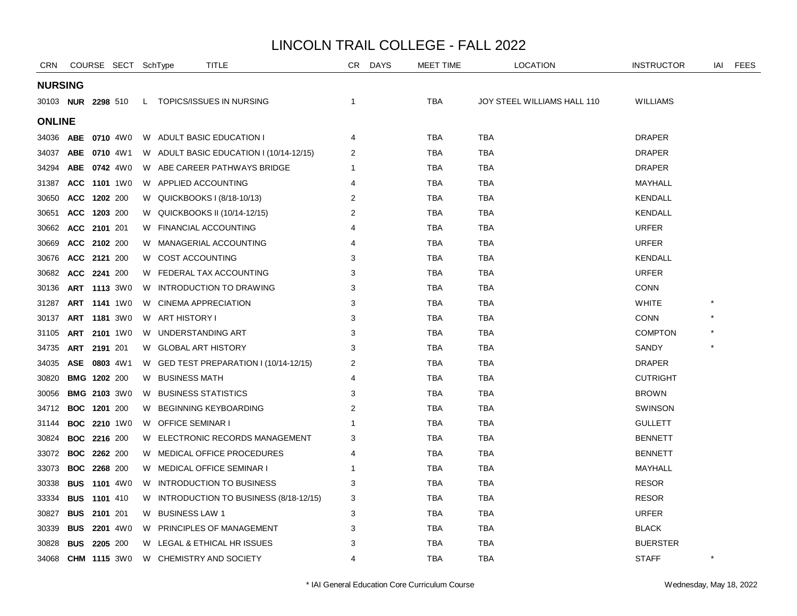| <b>CRN</b>                |                     | COURSE SECT SchType |    | <b>TITLE</b>                            | CR | <b>DAYS</b> | MEET TIME  | <b>LOCATION</b>             | <b>INSTRUCTOR</b> | IAI      | <b>FEES</b> |
|---------------------------|---------------------|---------------------|----|-----------------------------------------|----|-------------|------------|-----------------------------|-------------------|----------|-------------|
| <b>NURSING</b>            |                     |                     |    |                                         |    |             |            |                             |                   |          |             |
| 30103 <b>NUR 2298</b> 510 |                     |                     |    | L TOPICS/ISSUES IN NURSING              | 1  |             | <b>TBA</b> | JOY STEEL WILLIAMS HALL 110 | <b>WILLIAMS</b>   |          |             |
| <b>ONLINE</b>             |                     |                     |    |                                         |    |             |            |                             |                   |          |             |
| 34036                     | <b>ABE</b>          | 0710 4W0            |    | W ADULT BASIC EDUCATION I               | 4  |             | <b>TBA</b> | <b>TBA</b>                  | <b>DRAPER</b>     |          |             |
| 34037                     | ABE 0710 4W1        |                     |    | W ADULT BASIC EDUCATION I (10/14-12/15) | 2  |             | <b>TBA</b> | <b>TBA</b>                  | <b>DRAPER</b>     |          |             |
| 34294                     | ABE 0742 4W0        |                     | W. | ABE CAREER PATHWAYS BRIDGE              |    |             | <b>TBA</b> | TBA                         | <b>DRAPER</b>     |          |             |
| 31387                     | ACC 1101 1W0        |                     |    | W APPLIED ACCOUNTING                    | 4  |             | TBA        | TBA                         | MAYHALL           |          |             |
| 30650                     | ACC 1202 200        |                     |    | W QUICKBOOKS I (8/18-10/13)             | 2  |             | TBA        | <b>TBA</b>                  | <b>KENDALL</b>    |          |             |
| 30651                     | ACC 1203 200        |                     | W. | QUICKBOOKS II (10/14-12/15)             | 2  |             | <b>TBA</b> | <b>TBA</b>                  | <b>KENDALL</b>    |          |             |
| 30662                     | ACC 2101 201        |                     | W  | <b>FINANCIAL ACCOUNTING</b>             |    |             | <b>TBA</b> | <b>TBA</b>                  | <b>URFER</b>      |          |             |
| 30669                     | ACC 2102 200        |                     |    | W MANAGERIAL ACCOUNTING                 | 4  |             | <b>TBA</b> | <b>TBA</b>                  | <b>URFER</b>      |          |             |
| 30676                     | ACC 2121 200        |                     |    | W COST ACCOUNTING                       | 3  |             | <b>TBA</b> | <b>TBA</b>                  | <b>KENDALL</b>    |          |             |
| 30682                     | ACC 2241 200        |                     |    | W FEDERAL TAX ACCOUNTING                | 3  |             | <b>TBA</b> | TBA                         | <b>URFER</b>      |          |             |
| 30136                     | ART 1113 3W0        |                     | W. | INTRODUCTION TO DRAWING                 | 3  |             | TBA        | TBA                         | <b>CONN</b>       |          |             |
| 31287                     | <b>ART 1141 1W0</b> |                     | W  | <b>CINEMA APPRECIATION</b>              | 3  |             | <b>TBA</b> | <b>TBA</b>                  | <b>WHITE</b>      |          |             |
| 30137                     | ART 1181 3W0        |                     |    | W ART HISTORY I                         | 3  |             | TBA        | <b>TBA</b>                  | <b>CONN</b>       |          |             |
| 31105                     | ART 2101 1W0        |                     |    | W UNDERSTANDING ART                     | 3  |             | <b>TBA</b> | <b>TBA</b>                  | <b>COMPTON</b>    |          |             |
| 34735                     | ART 2191 201        |                     |    | W GLOBAL ART HISTORY                    | 3  |             | <b>TBA</b> | <b>TBA</b>                  | <b>SANDY</b>      |          |             |
| 34035                     | ASE 0803 4W1        |                     |    | W GED TEST PREPARATION I (10/14-12/15)  | 2  |             | <b>TBA</b> | <b>TBA</b>                  | <b>DRAPER</b>     |          |             |
| 30820                     | <b>BMG 1202 200</b> |                     |    | W BUSINESS MATH                         | 4  |             | <b>TBA</b> | <b>TBA</b>                  | <b>CUTRIGHT</b>   |          |             |
| 30056                     | <b>BMG 2103 3W0</b> |                     |    | W BUSINESS STATISTICS                   | 3  |             | TBA        | TBA                         | <b>BROWN</b>      |          |             |
| 34712                     | <b>BOC 1201 200</b> |                     | W  | <b>BEGINNING KEYBOARDING</b>            | 2  |             | TBA        | TBA                         | <b>SWINSON</b>    |          |             |
| 31144                     |                     | <b>BOC 2210 1W0</b> | W  | <b>OFFICE SEMINAR I</b>                 |    |             | TBA        | <b>TBA</b>                  | <b>GULLETT</b>    |          |             |
| 30824                     | <b>BOC 2216 200</b> |                     |    | W ELECTRONIC RECORDS MANAGEMENT         | 3  |             | TBA        | TBA                         | <b>BENNETT</b>    |          |             |
| 33072                     | <b>BOC 2262 200</b> |                     |    | W MEDICAL OFFICE PROCEDURES             | 4  |             | <b>TBA</b> | <b>TBA</b>                  | <b>BENNETT</b>    |          |             |
| 33073                     | <b>BOC 2268 200</b> |                     |    | W MEDICAL OFFICE SEMINAR I              |    |             | <b>TBA</b> | <b>TBA</b>                  | MAYHALL           |          |             |
| 30338                     | <b>BUS</b>          | <b>1101</b> 4W0     | W. | INTRODUCTION TO BUSINESS                | 3  |             | <b>TBA</b> | <b>TBA</b>                  | <b>RESOR</b>      |          |             |
| 33334                     | <b>BUS</b> 1101 410 |                     | W  | INTRODUCTION TO BUSINESS (8/18-12/15)   | 3  |             | <b>TBA</b> | TBA                         | <b>RESOR</b>      |          |             |
| 30827                     | <b>BUS 2101 201</b> |                     |    | W BUSINESS LAW 1                        | 3  |             | TBA        | <b>TBA</b>                  | <b>URFER</b>      |          |             |
| 30339                     |                     | <b>BUS 2201 4W0</b> | W  | PRINCIPLES OF MANAGEMENT                | 3  |             | TBA        | <b>TBA</b>                  | <b>BLACK</b>      |          |             |
| 30828                     | <b>BUS 2205 200</b> |                     |    | W LEGAL & ETHICAL HR ISSUES             | 3  |             | <b>TBA</b> | <b>TBA</b>                  | <b>BUERSTER</b>   |          |             |
| 34068                     | <b>CHM 1115 3W0</b> |                     |    | W CHEMISTRY AND SOCIETY                 | 4  |             | <b>TBA</b> | <b>TBA</b>                  | <b>STAFF</b>      | $^\star$ |             |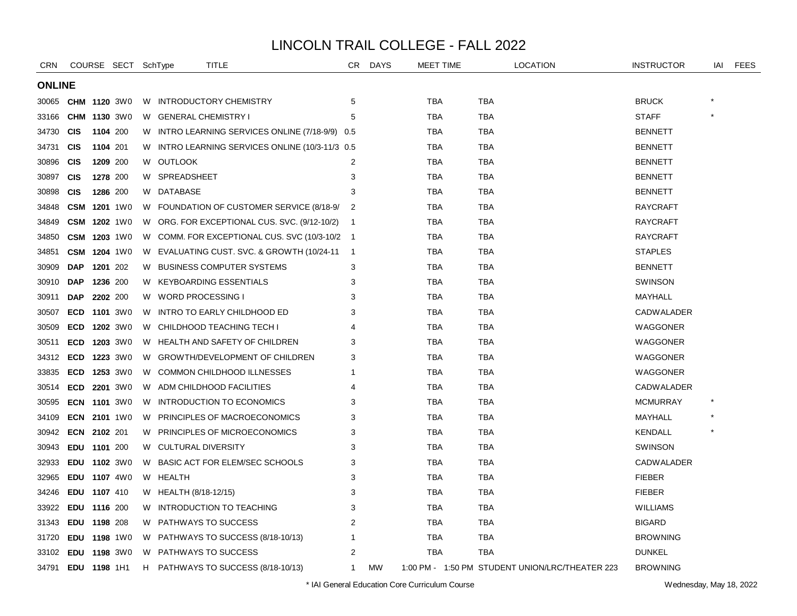| <b>CRN</b>    |              | COURSE SECT SchType |    | TITLE                                           | CR.                      | <b>DAYS</b> | MEET TIME  | <b>LOCATION</b>                                 | <b>INSTRUCTOR</b> | iai | <b>FEES</b> |
|---------------|--------------|---------------------|----|-------------------------------------------------|--------------------------|-------------|------------|-------------------------------------------------|-------------------|-----|-------------|
| <b>ONLINE</b> |              |                     |    |                                                 |                          |             |            |                                                 |                   |     |             |
| 30065         | CHM          | <b>1120 3W0</b>     |    | W INTRODUCTORY CHEMISTRY                        | 5                        |             | TBA        | <b>TBA</b>                                      | <b>BRUCK</b>      |     |             |
| 33166         |              | CHM 1130 3W0        | W. | <b>GENERAL CHEMISTRY I</b>                      | 5                        |             | <b>TBA</b> | <b>TBA</b>                                      | <b>STAFF</b>      |     |             |
| 34730         | <b>CIS</b>   | 1104 200            |    | W INTRO LEARNING SERVICES ONLINE (7/18-9/9) 0.5 |                          |             | TBA        | <b>TBA</b>                                      | <b>BENNETT</b>    |     |             |
| 34731         | <b>CIS</b>   | 1104 201            |    | W INTRO LEARNING SERVICES ONLINE (10/3-11/3 0.5 |                          |             | TBA        | <b>TBA</b>                                      | <b>BENNETT</b>    |     |             |
| 30896         | <b>CIS</b>   | 1209 200            | W  | <b>OUTLOOK</b>                                  | 2                        |             | <b>TBA</b> | <b>TBA</b>                                      | <b>BENNETT</b>    |     |             |
| 30897         | <b>CIS</b>   | 1278 200            |    | W SPREADSHEET                                   | 3                        |             | <b>TBA</b> | <b>TBA</b>                                      | <b>BENNETT</b>    |     |             |
| 30898         | <b>CIS</b>   | 1286 200            |    | W DATABASE                                      | 3                        |             | TBA        | <b>TBA</b>                                      | <b>BENNETT</b>    |     |             |
| 34848         |              | <b>CSM 1201 1W0</b> |    | W FOUNDATION OF CUSTOMER SERVICE (8/18-9/       | -2                       |             | TBA        | <b>TBA</b>                                      | <b>RAYCRAFT</b>   |     |             |
| 34849         | <b>CSM</b>   | <b>1202</b> 1W0     | W. | ORG. FOR EXCEPTIONAL CUS. SVC. (9/12-10/2)      | $\overline{1}$           |             | <b>TBA</b> | <b>TBA</b>                                      | <b>RAYCRAFT</b>   |     |             |
| 34850         | <b>CSM</b>   | <b>1203</b> 1W0     | W. | COMM. FOR EXCEPTIONAL CUS. SVC (10/3-10/2 1     |                          |             | TBA        | <b>TBA</b>                                      | <b>RAYCRAFT</b>   |     |             |
| 34851         |              | <b>CSM 1204 1W0</b> |    | W EVALUATING CUST. SVC. & GROWTH (10/24-11      | $\overline{\phantom{1}}$ |             | TBA        | <b>TBA</b>                                      | <b>STAPLES</b>    |     |             |
| 30909         | <b>DAP</b>   | 1201 202            | W  | <b>BUSINESS COMPUTER SYSTEMS</b>                | 3                        |             | <b>TBA</b> | <b>TBA</b>                                      | <b>BENNETT</b>    |     |             |
| 30910         | <b>DAP</b>   | 1236 200            |    | W KEYBOARDING ESSENTIALS                        | 3                        |             | <b>TBA</b> | <b>TBA</b>                                      | <b>SWINSON</b>    |     |             |
| 30911         | <b>DAP</b>   | 2202 200            | W  | <b>WORD PROCESSING I</b>                        | 3                        |             | <b>TBA</b> | <b>TBA</b>                                      | MAYHALL           |     |             |
| 30507         | ECD          | <b>1101</b> 3W0     | W  | INTRO TO EARLY CHILDHOOD ED                     | 3                        |             | TBA        | <b>TBA</b>                                      | <b>CADWALADER</b> |     |             |
| 30509         | <b>ECD</b>   | <b>1202</b> 3W0     | W. | CHILDHOOD TEACHING TECH I                       |                          |             | <b>TBA</b> | <b>TBA</b>                                      | WAGGONER          |     |             |
| 30511         |              | ECD 1203 3W0        |    | W HEALTH AND SAFETY OF CHILDREN                 | 3                        |             | <b>TBA</b> | <b>TBA</b>                                      | WAGGONER          |     |             |
| 34312         | ECD 1223 3W0 |                     |    | W GROWTH/DEVELOPMENT OF CHILDREN                | 3                        |             | TBA        | <b>TBA</b>                                      | WAGGONER          |     |             |
| 33835         | <b>ECD</b>   | <b>1253 3W0</b>     | W  | COMMON CHILDHOOD ILLNESSES                      | 1                        |             | TBA        | <b>TBA</b>                                      | WAGGONER          |     |             |
| 30514         | <b>ECD</b>   | 2201 3W0            | W  | ADM CHILDHOOD FACILITIES                        | 4                        |             | TBA        | <b>TBA</b>                                      | <b>CADWALADER</b> |     |             |
| 30595         |              | <b>ECN 1101 3W0</b> |    | W INTRODUCTION TO ECONOMICS                     | 3                        |             | TBA        | <b>TBA</b>                                      | <b>MCMURRAY</b>   |     |             |
| 34109         |              | <b>ECN 2101 1W0</b> | W  | PRINCIPLES OF MACROECONOMICS                    | 3                        |             | TBA        | TBA                                             | MAYHALL           |     |             |
| 30942         | ECN 2102 201 |                     |    | W PRINCIPLES OF MICROECONOMICS                  | 3                        |             | <b>TBA</b> | <b>TBA</b>                                      | <b>KENDALL</b>    |     |             |
| 30943         | EDU 1101 200 |                     | W  | <b>CULTURAL DIVERSITY</b>                       | 3                        |             | TBA        | <b>TBA</b>                                      | SWINSON           |     |             |
| 32933         |              | EDU 1102 3W0        | W  | BASIC ACT FOR ELEM/SEC SCHOOLS                  | 3                        |             | TBA        | TBA                                             | <b>CADWALADER</b> |     |             |
| 32965         |              | EDU 1107 4W0        |    | W HEALTH                                        | 3                        |             | TBA        | <b>TBA</b>                                      | <b>FIEBER</b>     |     |             |
| 34246         | EDU 1107 410 |                     |    | W HEALTH (8/18-12/15)                           | 3                        |             | <b>TBA</b> | <b>TBA</b>                                      | <b>FIEBER</b>     |     |             |
| 33922         | EDU 1116 200 |                     | W  | INTRODUCTION TO TEACHING                        | 3                        |             | TBA        | <b>TBA</b>                                      | <b>WILLIAMS</b>   |     |             |
| 31343         | EDU 1198 208 |                     | W. | PATHWAYS TO SUCCESS                             | 2                        |             | TBA        | <b>TBA</b>                                      | <b>BIGARD</b>     |     |             |
| 31720         |              | EDU 1198 1W0        | W. | PATHWAYS TO SUCCESS (8/18-10/13)                |                          |             | TBA        | <b>TBA</b>                                      | <b>BROWNING</b>   |     |             |
| 33102         | EDU 1198 3W0 |                     | W. | <b>PATHWAYS TO SUCCESS</b>                      | $\overline{2}$           |             | TBA        | <b>TBA</b>                                      | <b>DUNKEL</b>     |     |             |
| 34791         | EDU 1198 1H1 |                     | H  | PATHWAYS TO SUCCESS (8/18-10/13)                | $\mathbf 1$              | <b>MW</b>   |            | 1:00 PM - 1:50 PM STUDENT UNION/LRC/THEATER 223 | <b>BROWNING</b>   |     |             |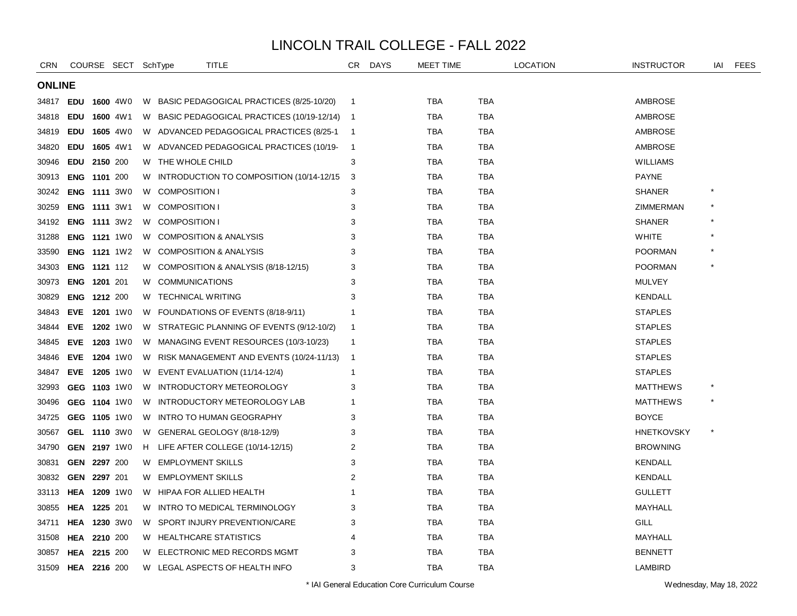| <b>CRN</b>    |                     |                     | COURSE SECT SchType |    | TITLE                                         | CR           | <b>DAYS</b> | MEET TIME  |            | <b>LOCATION</b> | <b>INSTRUCTOR</b> | IAI     | FEES |
|---------------|---------------------|---------------------|---------------------|----|-----------------------------------------------|--------------|-------------|------------|------------|-----------------|-------------------|---------|------|
| <b>ONLINE</b> |                     |                     |                     |    |                                               |              |             |            |            |                 |                   |         |      |
| 34817         | <b>EDU</b>          |                     | <b>1600 4W0</b>     |    | W BASIC PEDAGOGICAL PRACTICES (8/25-10/20)    | -1           |             | TBA        | TBA        |                 | <b>AMBROSE</b>    |         |      |
| 34818         | <b>EDU</b>          |                     | 1600 4W1            |    | W BASIC PEDAGOGICAL PRACTICES (10/19-12/14) 1 |              |             | TBA        | TBA        |                 | <b>AMBROSE</b>    |         |      |
| 34819         | <b>EDU</b>          |                     | <b>1605</b> 4W0     |    | W ADVANCED PEDAGOGICAL PRACTICES (8/25-1      | - 1          |             | <b>TBA</b> | <b>TBA</b> |                 | <b>AMBROSE</b>    |         |      |
| 34820         | <b>EDU</b>          |                     | 1605 4W1            |    | W ADVANCED PEDAGOGICAL PRACTICES (10/19-      | -1           |             | <b>TBA</b> | <b>TBA</b> |                 | <b>AMBROSE</b>    |         |      |
| 30946         | <b>EDU</b>          | 2150 200            |                     |    | W THE WHOLE CHILD                             | 3            |             | <b>TBA</b> | TBA        |                 | <b>WILLIAMS</b>   |         |      |
| 30913         | <b>ENG</b>          | 1101 200            |                     | W. | INTRODUCTION TO COMPOSITION (10/14-12/15)     | 3            |             | TBA        | TBA        |                 | PAYNE             |         |      |
| 30242         |                     |                     | <b>ENG 1111 3W0</b> | W. | <b>COMPOSITION I</b>                          | 3            |             | TBA        | <b>TBA</b> |                 | <b>SHANER</b>     |         |      |
| 30259         |                     |                     | <b>ENG 1111 3W1</b> |    | W COMPOSITION I                               | 3            |             | <b>TBA</b> | <b>TBA</b> |                 | ZIMMERMAN         |         |      |
| 34192         |                     |                     | <b>ENG 1111 3W2</b> |    | W COMPOSITION I                               | 3            |             | <b>TBA</b> | <b>TBA</b> |                 | <b>SHANER</b>     |         |      |
| 31288         |                     |                     | <b>ENG 1121 1W0</b> | W  | <b>COMPOSITION &amp; ANALYSIS</b>             | 3            |             | TBA        | TBA        |                 | <b>WHITE</b>      |         |      |
| 33590         |                     |                     | <b>ENG 1121 1W2</b> | W  | <b>COMPOSITION &amp; ANALYSIS</b>             | 3            |             | TBA        | TBA        |                 | POORMAN           |         |      |
| 34303         |                     | <b>ENG 1121 112</b> |                     |    | W COMPOSITION & ANALYSIS (8/18-12/15)         | 3            |             | TBA        | <b>TBA</b> |                 | POORMAN           |         |      |
| 30973         |                     | ENG 1201 201        |                     |    | W COMMUNICATIONS                              | 3            |             | <b>TBA</b> | <b>TBA</b> |                 | <b>MULVEY</b>     |         |      |
| 30829         |                     | ENG 1212 200        |                     |    | W TECHNICAL WRITING                           | 3            |             | <b>TBA</b> | <b>TBA</b> |                 | <b>KENDALL</b>    |         |      |
| 34843         |                     |                     | EVE 1201 1W0        |    | W FOUNDATIONS OF EVENTS (8/18-9/11)           | -1           |             | TBA        | TBA        |                 | <b>STAPLES</b>    |         |      |
| 34844         |                     |                     | EVE 1202 1W0        | W. | STRATEGIC PLANNING OF EVENTS (9/12-10/2)      | -1           |             | TBA        | TBA        |                 | <b>STAPLES</b>    |         |      |
| 34845         |                     |                     | EVE 1203 1W0        |    | W MANAGING EVENT RESOURCES (10/3-10/23)       | $\mathbf{1}$ |             | <b>TBA</b> | <b>TBA</b> |                 | <b>STAPLES</b>    |         |      |
| 34846         |                     |                     | EVE 1204 1W0        |    | W RISK MANAGEMENT AND EVENTS (10/24-11/13)    | -1           |             | <b>TBA</b> | <b>TBA</b> |                 | <b>STAPLES</b>    |         |      |
| 34847         |                     |                     | EVE 1205 1W0        |    | W EVENT EVALUATION (11/14-12/4)               | -1           |             | TBA        | TBA        |                 | <b>STAPLES</b>    |         |      |
| 32993         |                     |                     | GEG 1103 1W0        |    | W INTRODUCTORY METEOROLOGY                    | 3            |             | TBA        | TBA        |                 | <b>MATTHEWS</b>   |         |      |
| 30496         |                     |                     | GEG 1104 1W0        | W  | INTRODUCTORY METEOROLOGY LAB                  | 1            |             | <b>TBA</b> | TBA        |                 | <b>MATTHEWS</b>   |         |      |
| 34725         |                     |                     | GEG 1105 1W0        | W  | INTRO TO HUMAN GEOGRAPHY                      | 3            |             | TBA        | TBA        |                 | <b>BOYCE</b>      |         |      |
| 30567         |                     |                     | GEL 1110 3W0        |    | W GENERAL GEOLOGY (8/18-12/9)                 | 3            |             | TBA        | <b>TBA</b> |                 | <b>HNETKOVSKY</b> | $\star$ |      |
| 34790         |                     |                     | GEN 2197 1W0        |    | H LIFE AFTER COLLEGE (10/14-12/15)            | 2            |             | TBA        | <b>TBA</b> |                 | <b>BROWNING</b>   |         |      |
| 30831         | <b>GEN</b>          | 2297 200            |                     |    | W EMPLOYMENT SKILLS                           | 3            |             | <b>TBA</b> | <b>TBA</b> |                 | <b>KENDALL</b>    |         |      |
| 30832         | GEN                 | 2297 201            |                     | W. | <b>EMPLOYMENT SKILLS</b>                      | 2            |             | TBA        | TBA        |                 | <b>KENDALL</b>    |         |      |
| 33113         |                     |                     | <b>HEA 1209 1W0</b> |    | W HIPAA FOR ALLIED HEALTH                     | -1           |             | <b>TBA</b> | <b>TBA</b> |                 | <b>GULLETT</b>    |         |      |
| 30855         | HEA 1225 201        |                     |                     | W  | INTRO TO MEDICAL TERMINOLOGY                  | 3            |             | <b>TBA</b> | TBA        |                 | MAYHALL           |         |      |
| 34711         |                     |                     | <b>HEA 1230 3W0</b> |    | W SPORT INJURY PREVENTION/CARE                | 3            |             | <b>TBA</b> | <b>TBA</b> |                 | GILL              |         |      |
| 31508         | HEA                 | 2210 200            |                     |    | W HEALTHCARE STATISTICS                       | 4            |             | TBA        | TBA        |                 | MAYHALL           |         |      |
| 30857         | HEA                 | 2215 200            |                     | W. | ELECTRONIC MED RECORDS MGMT                   | 3            |             | TBA        | TBA        |                 | <b>BENNETT</b>    |         |      |
| 31509         | <b>HEA 2216 200</b> |                     |                     |    | W LEGAL ASPECTS OF HEALTH INFO                | 3            |             | <b>TBA</b> | <b>TBA</b> |                 | <b>LAMBIRD</b>    |         |      |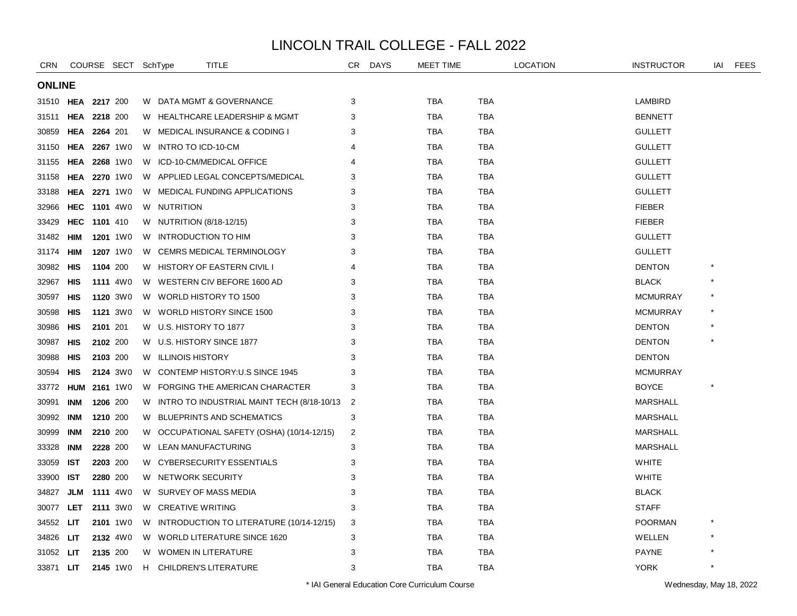| <b>CRN</b>       |                     |                 | COURSE SECT SchType |    | TITLE                                      | CR             | <b>DAYS</b> | <b>MEET TIME</b> |            | <b>LOCATION</b> | <b>INSTRUCTOR</b> | iai     | <b>FEES</b> |
|------------------|---------------------|-----------------|---------------------|----|--------------------------------------------|----------------|-------------|------------------|------------|-----------------|-------------------|---------|-------------|
| <b>ONLINE</b>    |                     |                 |                     |    |                                            |                |             |                  |            |                 |                   |         |             |
| 31510            | HEA                 | 2217 200        |                     |    | W DATA MGMT & GOVERNANCE                   | 3              |             | TBA              | TBA        |                 | LAMBIRD           |         |             |
| 31511            | <b>HEA 2218 200</b> |                 |                     |    | W HEALTHCARE LEADERSHIP & MGMT             | 3              |             | <b>TBA</b>       | <b>TBA</b> |                 | <b>BENNETT</b>    |         |             |
| 30859            | HEA 2264 201        |                 |                     |    | W MEDICAL INSURANCE & CODING I             | 3              |             | <b>TBA</b>       | <b>TBA</b> |                 | <b>GULLETT</b>    |         |             |
| 31150            | <b>HEA</b>          | <b>2267</b> 1W0 |                     |    | W INTRO TO ICD-10-CM                       | Δ              |             | <b>TBA</b>       | TBA        |                 | <b>GULLETT</b>    |         |             |
| 31155            | HEA                 | <b>2268</b> 1W0 |                     | W  | ICD-10-CM/MEDICAL OFFICE                   | 4              |             | TBA              | TBA        |                 | <b>GULLETT</b>    |         |             |
| 31158            | HEA                 | <b>2270</b> 1W0 |                     |    | W APPLIED LEGAL CONCEPTS/MEDICAL           | 3              |             | <b>TBA</b>       | <b>TBA</b> |                 | <b>GULLETT</b>    |         |             |
| 33188            | HEA                 | <b>2271</b> 1W0 |                     |    | W MEDICAL FUNDING APPLICATIONS             | 3              |             | <b>TBA</b>       | <b>TBA</b> |                 | <b>GULLETT</b>    |         |             |
| 32966            | HEC                 | <b>1101</b> 4W0 |                     |    | W NUTRITION                                | 3              |             | <b>TBA</b>       | <b>TBA</b> |                 | <b>FIEBER</b>     |         |             |
| 33429            | <b>HEC</b>          | 1101 410        |                     |    | W NUTRITION (8/18-12/15)                   | 3              |             | TBA              | TBA        |                 | <b>FIEBER</b>     |         |             |
| 31482            | HIM                 | <b>1201</b> 1W0 |                     |    | W INTRODUCTION TO HIM                      | 3              |             | TBA              | TBA        |                 | <b>GULLETT</b>    |         |             |
| 31174            | HIM                 | 1207 1W0        |                     | W. | CEMRS MEDICAL TERMINOLOGY                  | 3              |             | <b>TBA</b>       | <b>TBA</b> |                 | <b>GULLETT</b>    |         |             |
| 30982            | HIS                 | 1104 200        |                     |    | W HISTORY OF EASTERN CIVIL I               | 4              |             | <b>TBA</b>       | <b>TBA</b> |                 | <b>DENTON</b>     |         |             |
| 32967            | <b>HIS</b>          | <b>1111</b> 4W0 |                     |    | W WESTERN CIV BEFORE 1600 AD               | 3              |             | <b>TBA</b>       | TBA        |                 | <b>BLACK</b>      |         |             |
| 30597            | <b>HIS</b>          | 1120 3W0        |                     |    | W WORLD HISTORY TO 1500                    | 3              |             | TBA              | TBA        |                 | <b>MCMURRAY</b>   |         |             |
| 30598            | HIS                 | <b>1121</b> 3W0 |                     |    | W WORLD HISTORY SINCE 1500                 | 3              |             | <b>TBA</b>       | <b>TBA</b> |                 | <b>MCMURRAY</b>   |         |             |
| 30986            | HIS                 | 2101 201        |                     |    | W U.S. HISTORY TO 1877                     | 3              |             | <b>TBA</b>       | <b>TBA</b> |                 | <b>DENTON</b>     |         |             |
| 30987            | <b>HIS</b>          | 2102 200        |                     |    | W U.S. HISTORY SINCE 1877                  | 3              |             | <b>TBA</b>       | <b>TBA</b> |                 | <b>DENTON</b>     |         |             |
| 30988            | HIS                 | 2103 200        |                     |    | W ILLINOIS HISTORY                         | 3              |             | TBA              | TBA        |                 | <b>DENTON</b>     |         |             |
| 30594            | HIS                 | <b>2124</b> 3W0 |                     |    | W CONTEMP HISTORY:U.S SINCE 1945           | 3              |             | <b>TBA</b>       | <b>TBA</b> |                 | <b>MCMURRAY</b>   |         |             |
| 33772            | <b>HUM</b>          | 2161 1W0        |                     | W  | FORGING THE AMERICAN CHARACTER             | 3              |             | <b>TBA</b>       | <b>TBA</b> |                 | <b>BOYCE</b>      |         |             |
| 30991            | INM                 | 1206 200        |                     | W  | INTRO TO INDUSTRIAL MAINT TECH (8/18-10/13 | $\overline{2}$ |             | <b>TBA</b>       | <b>TBA</b> |                 | <b>MARSHALL</b>   |         |             |
| 30992            | INM                 | 1210 200        |                     | W  | <b>BLUEPRINTS AND SCHEMATICS</b>           | 3              |             | TBA              | <b>TBA</b> |                 | <b>MARSHALL</b>   |         |             |
| 30999            | INM                 | 2210 200        |                     |    | W OCCUPATIONAL SAFETY (OSHA) (10/14-12/15) | 2              |             | <b>TBA</b>       | <b>TBA</b> |                 | MARSHALL          |         |             |
| 33328            | <b>INM</b>          | 2228 200        |                     |    | W LEAN MANUFACTURING                       | 3              |             | <b>TBA</b>       | TBA        |                 | <b>MARSHALL</b>   |         |             |
| 33059            | <b>IST</b>          | 2203 200        |                     |    | W CYBERSECURITY ESSENTIALS                 | 3              |             | <b>TBA</b>       | <b>TBA</b> |                 | <b>WHITE</b>      |         |             |
| 33900            | <b>IST</b>          | 2280 200        |                     |    | W NETWORK SECURITY                         | 3              |             | <b>TBA</b>       | TBA        |                 | <b>WHITE</b>      |         |             |
| 34827            | JLM                 | <b>1111</b> 4W0 |                     |    | W SURVEY OF MASS MEDIA                     | 3              |             | TBA              | TBA        |                 | <b>BLACK</b>      |         |             |
| 30077            | LET                 | 2111 3W0        |                     |    | W CREATIVE WRITING                         | 3              |             | <b>TBA</b>       | <b>TBA</b> |                 | <b>STAFF</b>      |         |             |
| 34552            | LIT                 | 2101 1W0        |                     |    | W INTRODUCTION TO LITERATURE (10/14-12/15) | 3              |             | <b>TBA</b>       | <b>TBA</b> |                 | <b>POORMAN</b>    |         |             |
| 34826            | LIT                 | 2132 4W0        |                     |    | W WORLD LITERATURE SINCE 1620              | 3              |             | <b>TBA</b>       | TBA        |                 | WELLEN            |         |             |
| 31052            | LIT                 | 2135 200        |                     |    | W WOMEN IN LITERATURE                      | 3              |             | <b>TBA</b>       | TBA        |                 | <b>PAYNE</b>      |         |             |
| 33871 <b>LIT</b> |                     |                 | 2145 1W0            |    | H CHILDREN'S LITERATURE                    | 3              |             | <b>TBA</b>       | <b>TBA</b> |                 | <b>YORK</b>       | $\star$ |             |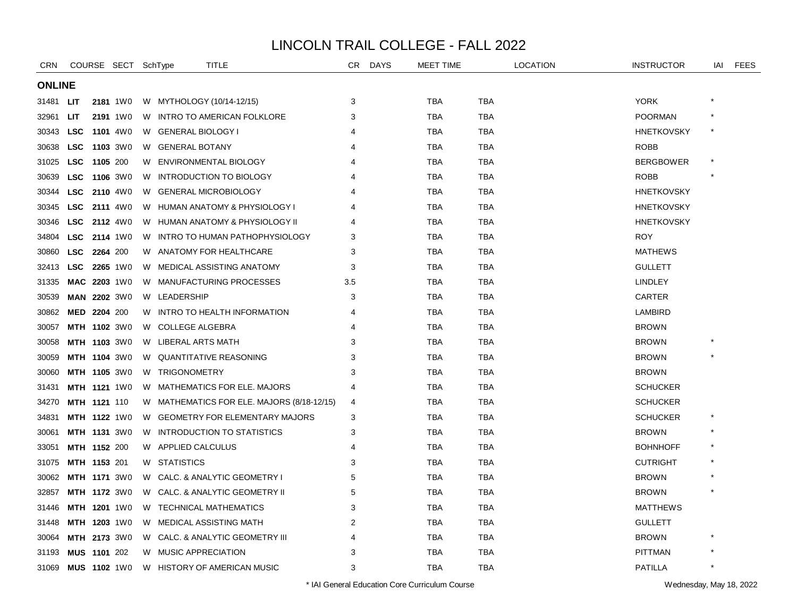| <b>CRN</b>    |                     |          | COURSE SECT SchType |    | TITLE                                      | CR. | <b>DAYS</b> | <b>MEET TIME</b> |            | <b>LOCATION</b> | <b>INSTRUCTOR</b> | iai | <b>FEES</b> |
|---------------|---------------------|----------|---------------------|----|--------------------------------------------|-----|-------------|------------------|------------|-----------------|-------------------|-----|-------------|
| <b>ONLINE</b> |                     |          |                     |    |                                            |     |             |                  |            |                 |                   |     |             |
| 31481         | LIT                 |          | <b>2181</b> 1W0     |    | W MYTHOLOGY (10/14-12/15)                  | 3   |             | <b>TBA</b>       | <b>TBA</b> |                 | <b>YORK</b>       |     |             |
| 32961         | LIT                 |          | 2191 1W0            | W  | INTRO TO AMERICAN FOLKLORE                 | 3   |             | <b>TBA</b>       | <b>TBA</b> |                 | <b>POORMAN</b>    |     |             |
| 30343         | <b>LSC</b>          |          | <b>1101</b> 4W0     |    | W GENERAL BIOLOGY I                        | 4   |             | TBA              | <b>TBA</b> |                 | <b>HNETKOVSKY</b> |     |             |
| 30638         | <b>LSC</b>          |          | <b>1103</b> 3W0     |    | W GENERAL BOTANY                           | 4   |             | <b>TBA</b>       | <b>TBA</b> |                 | <b>ROBB</b>       |     |             |
| 31025         | <b>LSC</b>          | 1105 200 |                     | W  | ENVIRONMENTAL BIOLOGY                      | 4   |             | <b>TBA</b>       | TBA        |                 | <b>BERGBOWER</b>  |     |             |
| 30639         | <b>LSC</b>          |          | <b>1106</b> 3W0     | W  | <b>INTRODUCTION TO BIOLOGY</b>             |     |             | TBA              | TBA        |                 | <b>ROBB</b>       |     |             |
| 30344         | <b>LSC</b>          |          | <b>2110</b> 4W0     | W  | <b>GENERAL MICROBIOLOGY</b>                |     |             | TBA              | <b>TBA</b> |                 | <b>HNETKOVSKY</b> |     |             |
| 30345         | <b>LSC</b>          |          | <b>2111</b> 4W0     | W  | HUMAN ANATOMY & PHYSIOLOGY I               |     |             | <b>TBA</b>       | <b>TBA</b> |                 | <b>HNETKOVSKY</b> |     |             |
| 30346         | <b>LSC</b>          |          | <b>2112</b> 4W0     |    | W HUMAN ANATOMY & PHYSIOLOGY II            | Δ   |             | TBA              | TBA        |                 | <b>HNETKOVSKY</b> |     |             |
| 34804         | <b>LSC</b>          |          | <b>2114</b> 1W0     | W  | INTRO TO HUMAN PATHOPHYSIOLOGY             | 3   |             | TBA              | TBA        |                 | <b>ROY</b>        |     |             |
| 30860         | <b>LSC</b>          | 2264 200 |                     | W  | ANATOMY FOR HEALTHCARE                     | 3   |             | <b>TBA</b>       | <b>TBA</b> |                 | <b>MATHEWS</b>    |     |             |
| 32413         | <b>LSC</b>          |          | <b>2265</b> 1W0     | W  | MEDICAL ASSISTING ANATOMY                  | 3   |             | <b>TBA</b>       | <b>TBA</b> |                 | <b>GULLETT</b>    |     |             |
| 31335         | MAC 2203 1W0        |          |                     |    | W MANUFACTURING PROCESSES                  | 3.5 |             | TBA              | <b>TBA</b> |                 | <b>LINDLEY</b>    |     |             |
| 30539         |                     |          | <b>MAN 2202 3W0</b> |    | W LEADERSHIP                               | 3   |             | <b>TBA</b>       | <b>TBA</b> |                 | <b>CARTER</b>     |     |             |
| 30862         | MED 2204 200        |          |                     | W  | INTRO TO HEALTH INFORMATION                | 4   |             | TBA              | TBA        |                 | LAMBIRD           |     |             |
| 30057         |                     |          | <b>MTH 1102 3W0</b> | W  | <b>COLLEGE ALGEBRA</b>                     |     |             | TBA              | TBA        |                 | <b>BROWN</b>      |     |             |
| 30058         |                     |          | <b>MTH 1103 3W0</b> | W  | LIBERAL ARTS MATH                          | 3   |             | <b>TBA</b>       | <b>TBA</b> |                 | <b>BROWN</b>      |     |             |
| 30059         |                     |          | <b>MTH 1104 3W0</b> | W  | <b>QUANTITATIVE REASONING</b>              | 3   |             | <b>TBA</b>       | <b>TBA</b> |                 | <b>BROWN</b>      |     |             |
| 30060         |                     |          | <b>MTH 1105 3W0</b> |    | W TRIGONOMETRY                             | 3   |             | TBA              | TBA        |                 | <b>BROWN</b>      |     |             |
| 31431         |                     |          | <b>MTH 1121 1W0</b> | W  | MATHEMATICS FOR ELE. MAJORS                | 4   |             | <b>TBA</b>       | TBA        |                 | <b>SCHUCKER</b>   |     |             |
| 34270         | MTH 1121 110        |          |                     |    | W MATHEMATICS FOR ELE. MAJORS (8/18-12/15) | 4   |             | <b>TBA</b>       | TBA        |                 | <b>SCHUCKER</b>   |     |             |
| 34831         |                     |          | <b>MTH 1122 1W0</b> | W  | <b>GEOMETRY FOR ELEMENTARY MAJORS</b>      | 3   |             | <b>TBA</b>       | <b>TBA</b> |                 | <b>SCHUCKER</b>   |     |             |
| 30061         |                     |          | <b>MTH 1131 3W0</b> | W  | INTRODUCTION TO STATISTICS                 | 3   |             | <b>TBA</b>       | <b>TBA</b> |                 | <b>BROWN</b>      |     |             |
| 33051         | MTH 1152 200        |          |                     |    | W APPLIED CALCULUS                         | 4   |             | <b>TBA</b>       | <b>TBA</b> |                 | <b>BOHNHOFF</b>   |     |             |
| 31075         | MTH 1153 201        |          |                     |    | W STATISTICS                               | 3   |             | <b>TBA</b>       | TBA        |                 | <b>CUTRIGHT</b>   |     |             |
| 30062         |                     |          | <b>MTH 1171 3W0</b> | W. | CALC. & ANALYTIC GEOMETRY I                | 5   |             | TBA              | TBA        |                 | <b>BROWN</b>      |     |             |
| 32857         |                     |          | <b>MTH 1172 3W0</b> | W  | CALC. & ANALYTIC GEOMETRY II               | 5   |             | <b>TBA</b>       | <b>TBA</b> |                 | <b>BROWN</b>      |     |             |
| 31446         |                     |          | <b>MTH 1201 1W0</b> | W  | <b>TECHNICAL MATHEMATICS</b>               | 3   |             | <b>TBA</b>       | <b>TBA</b> |                 | <b>MATTHEWS</b>   |     |             |
| 31448         |                     |          | MTH 1203 1W0        |    | W MEDICAL ASSISTING MATH                   | 2   |             | TBA              | TBA        |                 | <b>GULLETT</b>    |     |             |
| 30064         |                     |          | <b>MTH 2173 3W0</b> | W  | CALC. & ANALYTIC GEOMETRY III              | 4   |             | <b>TBA</b>       | TBA        |                 | <b>BROWN</b>      |     |             |
| 31193         | MUS 1101 202        |          |                     | W  | <b>MUSIC APPRECIATION</b>                  | 3   |             | <b>TBA</b>       | <b>TBA</b> |                 | <b>PITTMAN</b>    |     |             |
| 31069         | <b>MUS 1102 1W0</b> |          |                     |    | W HISTORY OF AMERICAN MUSIC                | 3   |             | <b>TBA</b>       | <b>TBA</b> |                 | <b>PATILLA</b>    |     |             |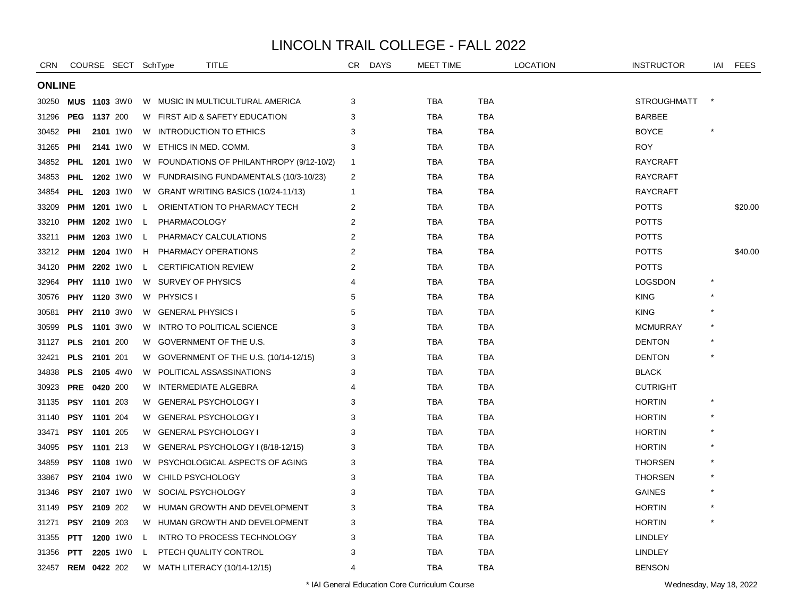| <b>CRN</b>    |                     |          | COURSE SECT SchType |    | TITLE                                     | CR             | <b>DAYS</b> | <b>MEET TIME</b> |            | <b>LOCATION</b> | <b>INSTRUCTOR</b>  | IAI | <b>FEES</b> |
|---------------|---------------------|----------|---------------------|----|-------------------------------------------|----------------|-------------|------------------|------------|-----------------|--------------------|-----|-------------|
| <b>ONLINE</b> |                     |          |                     |    |                                           |                |             |                  |            |                 |                    |     |             |
| 30250         | <b>MUS 1103 3W0</b> |          |                     |    | W MUSIC IN MULTICULTURAL AMERICA          | 3              |             | TBA              | TBA        |                 | <b>STROUGHMATT</b> |     |             |
| 31296         | <b>PEG 1137 200</b> |          |                     |    | W FIRST AID & SAFETY EDUCATION            | 3              |             | <b>TBA</b>       | <b>TBA</b> |                 | <b>BARBEE</b>      |     |             |
| 30452         | PHI                 |          | 2101 1W0            |    | W INTRODUCTION TO ETHICS                  | 3              |             | TBA              | TBA        |                 | <b>BOYCE</b>       |     |             |
| 31265         | <b>PHI</b>          |          | 2141 1W0            |    | W ETHICS IN MED. COMM.                    | 3              |             | <b>TBA</b>       | <b>TBA</b> |                 | <b>ROY</b>         |     |             |
| 34852         | <b>PHL</b>          |          | <b>1201</b> 1W0     |    | W FOUNDATIONS OF PHILANTHROPY (9/12-10/2) | $\overline{1}$ |             | <b>TBA</b>       | <b>TBA</b> |                 | <b>RAYCRAFT</b>    |     |             |
| 34853         | <b>PHL</b>          |          | <b>1202</b> 1W0     |    | W FUNDRAISING FUNDAMENTALS (10/3-10/23)   | 2              |             | <b>TBA</b>       | <b>TBA</b> |                 | <b>RAYCRAFT</b>    |     |             |
| 34854         | <b>PHL</b>          |          | <b>1203</b> 1W0     |    | W GRANT WRITING BASICS (10/24-11/13)      | $\overline{1}$ |             | TBA              | <b>TBA</b> |                 | <b>RAYCRAFT</b>    |     |             |
| 33209         |                     |          | <b>PHM 1201 1W0</b> | L. | ORIENTATION TO PHARMACY TECH              | 2              |             | TBA              | <b>TBA</b> |                 | <b>POTTS</b>       |     | \$20.00     |
| 33210         | <b>PHM</b>          |          | <b>1202</b> 1W0     | L. | PHARMACOLOGY                              | 2              |             | <b>TBA</b>       | <b>TBA</b> |                 | <b>POTTS</b>       |     |             |
| 33211         | <b>PHM</b>          |          | <b>1203</b> 1W0     | L  | PHARMACY CALCULATIONS                     | $\overline{2}$ |             | <b>TBA</b>       | <b>TBA</b> |                 | <b>POTTS</b>       |     |             |
| 33212         | <b>PHM</b>          |          | <b>1204</b> 1W0     | H  | PHARMACY OPERATIONS                       | $\overline{2}$ |             | <b>TBA</b>       | <b>TBA</b> |                 | <b>POTTS</b>       |     | \$40.00     |
| 34120         | <b>PHM</b>          |          | <b>2202</b> 1W0     | L  | <b>CERTIFICATION REVIEW</b>               | 2              |             | <b>TBA</b>       | <b>TBA</b> |                 | <b>POTTS</b>       |     |             |
| 32964         | <b>PHY</b>          |          | <b>1110</b> 1W0     |    | W SURVEY OF PHYSICS                       | 4              |             | TBA              | <b>TBA</b> |                 | <b>LOGSDON</b>     |     |             |
| 30576         | <b>PHY</b>          |          | 1120 3W0            |    | W PHYSICS I                               | 5              |             | TBA              | TBA        |                 | <b>KING</b>        |     |             |
| 30581         | PHY                 |          | 2110 3W0            |    | W GENERAL PHYSICS I                       | 5              |             | <b>TBA</b>       | <b>TBA</b> |                 | <b>KING</b>        |     |             |
| 30599         | <b>PLS</b>          |          | <b>1101</b> 3W0     | W  | INTRO TO POLITICAL SCIENCE                | 3              |             | <b>TBA</b>       | <b>TBA</b> |                 | <b>MCMURRAY</b>    |     |             |
| 31127         | <b>PLS</b>          | 2101 200 |                     | W  | GOVERNMENT OF THE U.S.                    | 3              |             | <b>TBA</b>       | <b>TBA</b> |                 | <b>DENTON</b>      |     |             |
| 32421         | <b>PLS</b>          | 2101 201 |                     |    | W GOVERNMENT OF THE U.S. (10/14-12/15)    | 3              |             | TBA              | TBA        |                 | <b>DENTON</b>      |     |             |
| 34838         | <b>PLS</b>          |          | <b>2105</b> 4W0     |    | W POLITICAL ASSASSINATIONS                | 3              |             | TBA              | TBA        |                 | <b>BLACK</b>       |     |             |
| 30923         | <b>PRE</b>          | 0420 200 |                     | W  | INTERMEDIATE ALGEBRA                      | 4              |             | <b>TBA</b>       | <b>TBA</b> |                 | <b>CUTRIGHT</b>    |     |             |
| 31135         | PSY                 | 1101 203 |                     | W  | <b>GENERAL PSYCHOLOGY I</b>               | 3              |             | <b>TBA</b>       | <b>TBA</b> |                 | <b>HORTIN</b>      |     |             |
| 31140         | <b>PSY</b>          | 1101 204 |                     | W  | <b>GENERAL PSYCHOLOGY I</b>               | 3              |             | TBA              | <b>TBA</b> |                 | <b>HORTIN</b>      |     |             |
| 33471         | PSY 1101 205        |          |                     | W  | <b>GENERAL PSYCHOLOGY I</b>               | 3              |             | TBA              | <b>TBA</b> |                 | <b>HORTIN</b>      |     |             |
| 34095         | PSY 1101 213        |          |                     |    | W GENERAL PSYCHOLOGY I (8/18-12/15)       | 3              |             | TBA              | <b>TBA</b> |                 | <b>HORTIN</b>      |     |             |
| 34859         | <b>PSY</b>          |          | <b>1108</b> 1W0     | W  | PSYCHOLOGICAL ASPECTS OF AGING            | 3              |             | TBA              | TBA        |                 | <b>THORSEN</b>     |     |             |
| 33867         | <b>PSY</b>          |          | 2104 1W0            | W. | CHILD PSYCHOLOGY                          | 3              |             | <b>TBA</b>       | <b>TBA</b> |                 | <b>THORSEN</b>     |     |             |
| 31346         | <b>PSY</b>          |          | <b>2107</b> 1W0     | W. | SOCIAL PSYCHOLOGY                         | 3              |             | <b>TBA</b>       | <b>TBA</b> |                 | <b>GAINES</b>      |     |             |
| 31149         | <b>PSY</b>          | 2109 202 |                     |    | W HUMAN GROWTH AND DEVELOPMENT            | 3              |             | <b>TBA</b>       | <b>TBA</b> |                 | <b>HORTIN</b>      |     |             |
| 31271         | <b>PSY 2109 203</b> |          |                     |    | W HUMAN GROWTH AND DEVELOPMENT            | 3              |             | TBA              | <b>TBA</b> |                 | <b>HORTIN</b>      |     |             |
| 31355         | <b>PTT</b>          |          | <b>1200</b> 1W0     | L  | <b>INTRO TO PROCESS TECHNOLOGY</b>        | 3              |             | TBA              | TBA        |                 | <b>LINDLEY</b>     |     |             |
| 31356         | <b>PTT</b>          |          | <b>2205</b> 1W0     | L. | PTECH QUALITY CONTROL                     | 3              |             | TBA              | <b>TBA</b> |                 | LINDLEY            |     |             |
| 32457         | <b>REM 0422 202</b> |          |                     |    | W MATH LITERACY (10/14-12/15)             | 4              |             | <b>TBA</b>       | <b>TBA</b> |                 | <b>BENSON</b>      |     |             |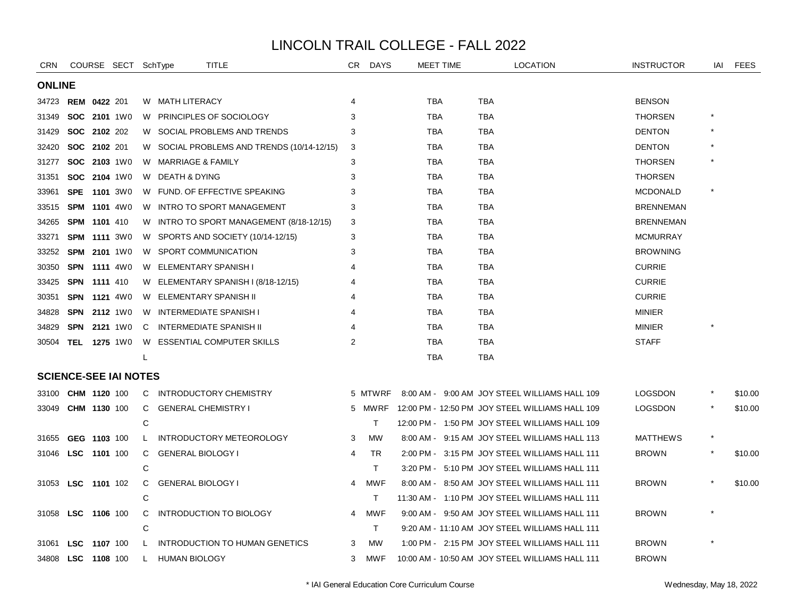| <b>CRN</b>    |            | COURSE SECT SchType          |              | TITLE                                      | CR.            | <b>DAYS</b> | MEET TIME  | <b>LOCATION</b>                                 | <b>INSTRUCTOR</b> | iai | <b>FEES</b> |
|---------------|------------|------------------------------|--------------|--------------------------------------------|----------------|-------------|------------|-------------------------------------------------|-------------------|-----|-------------|
| <b>ONLINE</b> |            |                              |              |                                            |                |             |            |                                                 |                   |     |             |
|               |            | 34723 REM 0422 201           |              | W MATH LITERACY                            | 4              |             | <b>TBA</b> | <b>TBA</b>                                      | <b>BENSON</b>     |     |             |
| 31349         |            | SOC 2101 1W0                 |              | W PRINCIPLES OF SOCIOLOGY                  | 3              |             | <b>TBA</b> | <b>TBA</b>                                      | <b>THORSEN</b>    |     |             |
| 31429         |            | SOC 2102 202                 |              | W SOCIAL PROBLEMS AND TRENDS               |                |             | <b>TBA</b> | <b>TBA</b>                                      | <b>DENTON</b>     |     |             |
| 32420         |            | SOC 2102 201                 |              | W SOCIAL PROBLEMS AND TRENDS (10/14-12/15) | 3              |             | <b>TBA</b> | <b>TBA</b>                                      | <b>DENTON</b>     |     |             |
| 31277         |            | SOC 2103 1W0                 |              | W MARRIAGE & FAMILY                        | 3              |             | <b>TBA</b> | <b>TBA</b>                                      | <b>THORSEN</b>    |     |             |
| 31351         |            | <b>SOC 2104 1W0</b>          |              | W DEATH & DYING                            | 3              |             | <b>TBA</b> | <b>TBA</b>                                      | <b>THORSEN</b>    |     |             |
| 33961         | <b>SPE</b> | <b>1101</b> 3W0              |              | W FUND, OF EFFECTIVE SPEAKING              | 3              |             | <b>TBA</b> | <b>TBA</b>                                      | <b>MCDONALD</b>   |     |             |
| 33515         |            | <b>SPM 1101 4W0</b>          |              | W INTRO TO SPORT MANAGEMENT                | 3              |             | TBA        | <b>TBA</b>                                      | <b>BRENNEMAN</b>  |     |             |
| 34265         |            | <b>SPM 1101 410</b>          |              | W INTRO TO SPORT MANAGEMENT (8/18-12/15)   | 3              |             | TBA        | <b>TBA</b>                                      | <b>BRENNEMAN</b>  |     |             |
| 33271         |            | <b>SPM 1111 3W0</b>          |              | W SPORTS AND SOCIETY (10/14-12/15)         | 3              |             | TBA        | <b>TBA</b>                                      | <b>MCMURRAY</b>   |     |             |
| 33252         |            | <b>SPM 2101 1W0</b>          |              | W SPORT COMMUNICATION                      | 3              |             | TBA        | TBA                                             | <b>BROWNING</b>   |     |             |
| 30350         |            | <b>SPN 1111 4W0</b>          |              | W ELEMENTARY SPANISH I                     |                |             | TBA        | <b>TBA</b>                                      | <b>CURRIE</b>     |     |             |
| 33425         |            | <b>SPN 1111 410</b>          |              | W ELEMENTARY SPANISH I (8/18-12/15)        |                |             | <b>TBA</b> | <b>TBA</b>                                      | <b>CURRIE</b>     |     |             |
| 30351         |            | <b>SPN 1121 4W0</b>          |              | W ELEMENTARY SPANISH II                    |                |             | <b>TBA</b> | <b>TBA</b>                                      | <b>CURRIE</b>     |     |             |
| 34828         | SPN        | <b>2112</b> 1W0              |              | W INTERMEDIATE SPANISH I                   |                |             | TBA        | <b>TBA</b>                                      | <b>MINIER</b>     |     |             |
| 34829         | <b>SPN</b> | 2121 1W0                     | C            | <b>INTERMEDIATE SPANISH II</b>             |                |             | <b>TBA</b> | <b>TBA</b>                                      | <b>MINIER</b>     |     |             |
|               |            | 30504 TEL 1275 1W0           | W            | <b>ESSENTIAL COMPUTER SKILLS</b>           | $\overline{2}$ |             | <b>TBA</b> | <b>TBA</b>                                      | <b>STAFF</b>      |     |             |
|               |            |                              | L            |                                            |                |             | <b>TBA</b> | <b>TBA</b>                                      |                   |     |             |
|               |            | <b>SCIENCE-SEE IAI NOTES</b> |              |                                            |                |             |            |                                                 |                   |     |             |
| 33100         |            | CHM 1120 100                 | C            | INTRODUCTORY CHEMISTRY                     |                | 5 MTWRF     |            | 8:00 AM - 9:00 AM JOY STEEL WILLIAMS HALL 109   | <b>LOGSDON</b>    |     | \$10.00     |
| 33049         |            | CHM 1130 100                 | C            | <b>GENERAL CHEMISTRY I</b>                 |                | 5 MWRF      |            | 12:00 PM - 12:50 PM JOY STEEL WILLIAMS HALL 109 | <b>LOGSDON</b>    |     | \$10.00     |
|               |            |                              | С            |                                            |                | T.          |            | 12:00 PM - 1:50 PM JOY STEEL WILLIAMS HALL 109  |                   |     |             |
| 31655         |            | GEG 1103 100                 | L.           | INTRODUCTORY METEOROLOGY                   | 3              | MW          |            | 8:00 AM - 9:15 AM JOY STEEL WILLIAMS HALL 113   | <b>MATTHEWS</b>   |     |             |
| 31046         |            | LSC 1101 100                 | C            | <b>GENERAL BIOLOGY I</b>                   | 4              | <b>TR</b>   |            | 2:00 PM - 3:15 PM JOY STEEL WILLIAMS HALL 111   | <b>BROWN</b>      |     | \$10.00     |
|               |            |                              | C            |                                            |                | T.          |            | 3:20 PM - 5:10 PM JOY STEEL WILLIAMS HALL 111   |                   |     |             |
|               |            | 31053 LSC 1101 102           | C            | <b>GENERAL BIOLOGY I</b>                   | 4              | <b>MWF</b>  |            | 8:00 AM - 8:50 AM JOY STEEL WILLIAMS HALL 111   | <b>BROWN</b>      |     | \$10.00     |
|               |            |                              | C            |                                            |                | T.          |            | 11:30 AM - 1:10 PM JOY STEEL WILLIAMS HALL 111  |                   |     |             |
| 31058         |            | LSC 1106 100                 | C            | <b>INTRODUCTION TO BIOLOGY</b>             | 4              | MWF         |            | 9:00 AM - 9:50 AM JOY STEEL WILLIAMS HALL 111   | <b>BROWN</b>      |     |             |
|               |            |                              | С            |                                            |                | T.          |            | 9:20 AM - 11:10 AM JOY STEEL WILLIAMS HALL 111  |                   |     |             |
| 31061         | <b>LSC</b> | 1107 100                     | $\mathsf{L}$ | INTRODUCTION TO HUMAN GENETICS             | 3              | <b>MW</b>   |            | 1:00 PM - 2:15 PM JOY STEEL WILLIAMS HALL 111   | <b>BROWN</b>      |     |             |
|               |            | 34808 LSC 1108 100           | L.           | HUMAN BIOLOGY                              | 3              | <b>MWF</b>  |            | 10:00 AM - 10:50 AM JOY STEEL WILLIAMS HALL 111 | <b>BROWN</b>      |     |             |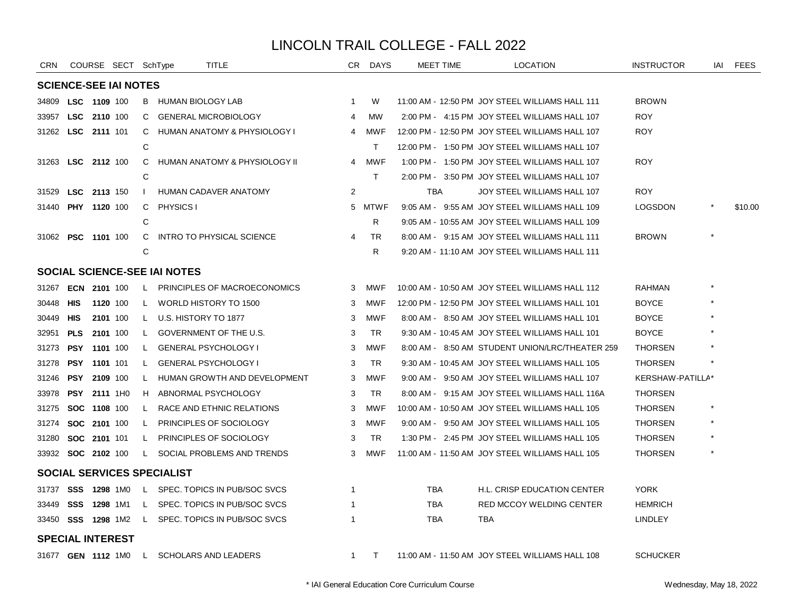| <b>CRN</b>                |                     |                     | COURSE SECT SchType          |              | <b>TITLE</b>                              | CR.            | <b>DAYS</b> | MEET TIME  | <b>LOCATION</b>                                 | <b>INSTRUCTOR</b> | iai | <b>FEES</b> |
|---------------------------|---------------------|---------------------|------------------------------|--------------|-------------------------------------------|----------------|-------------|------------|-------------------------------------------------|-------------------|-----|-------------|
|                           |                     |                     | <b>SCIENCE-SEE IAI NOTES</b> |              |                                           |                |             |            |                                                 |                   |     |             |
| 34809                     | LSC 1109 100        |                     |                              |              | B HUMAN BIOLOGY LAB                       | -1             | W           |            | 11:00 AM - 12:50 PM JOY STEEL WILLIAMS HALL 111 | BROWN             |     |             |
| 33957                     |                     | LSC 2110 100        |                              | C.           | <b>GENERAL MICROBIOLOGY</b>               | 4              | <b>MW</b>   |            | 2:00 PM - 4:15 PM JOY STEEL WILLIAMS HALL 107   | <b>ROY</b>        |     |             |
| 31262 LSC 2111 101        |                     |                     |                              | C            | HUMAN ANATOMY & PHYSIOLOGY I              | 4              | MWF         |            | 12:00 PM - 12:50 PM JOY STEEL WILLIAMS HALL 107 | <b>ROY</b>        |     |             |
|                           |                     |                     |                              | C            |                                           |                | T.          |            | 12:00 PM - 1:50 PM JOY STEEL WILLIAMS HALL 107  |                   |     |             |
| 31263 LSC 2112 100        |                     |                     |                              | C            | HUMAN ANATOMY & PHYSIOLOGY II             | 4              | <b>MWF</b>  |            | 1:00 PM - 1:50 PM JOY STEEL WILLIAMS HALL 107   | <b>ROY</b>        |     |             |
|                           |                     |                     |                              | C            |                                           |                | T.          |            | 2:00 PM - 3:50 PM JOY STEEL WILLIAMS HALL 107   |                   |     |             |
| 31529                     | LSC 2113 150        |                     |                              | $\mathbf{I}$ | HUMAN CADAVER ANATOMY                     | $\overline{2}$ |             | <b>TBA</b> | JOY STEEL WILLIAMS HALL 107                     | ROY               |     |             |
| 31440                     | <b>PHY 1120 100</b> |                     |                              | C            | PHYSICS I                                 |                | 5 MTWF      |            | 9:05 AM - 9:55 AM JOY STEEL WILLIAMS HALL 109   | <b>LOGSDON</b>    |     | \$10.00     |
|                           |                     |                     |                              | C            |                                           |                | R           |            | 9:05 AM - 10:55 AM JOY STEEL WILLIAMS HALL 109  |                   |     |             |
| 31062 PSC 1101 100        |                     |                     |                              | C            | <b>INTRO TO PHYSICAL SCIENCE</b>          | $\overline{4}$ | TR          |            | 8:00 AM - 9:15 AM JOY STEEL WILLIAMS HALL 111   | <b>BROWN</b>      |     |             |
|                           |                     |                     |                              | C            |                                           |                | R           |            | 9:20 AM - 11:10 AM JOY STEEL WILLIAMS HALL 111  |                   |     |             |
|                           |                     |                     |                              |              | <b>SOCIAL SCIENCE-SEE IAI NOTES</b>       |                |             |            |                                                 |                   |     |             |
| 31267                     |                     | ECN 2101 100        |                              | L.           | PRINCIPLES OF MACROECONOMICS              | 3              | MWF         |            | 10:00 AM - 10:50 AM JOY STEEL WILLIAMS HALL 112 | RAHMAN            |     |             |
| 30448                     | HIS                 |                     | 1120 100                     | L.           | WORLD HISTORY TO 1500                     | 3              | MWF         |            | 12:00 PM - 12:50 PM JOY STEEL WILLIAMS HALL 101 | <b>BOYCE</b>      |     |             |
| 30449                     | HIS                 |                     | 2101 100                     | L.           | U.S. HISTORY TO 1877                      | 3              | <b>MWF</b>  |            | 8:00 AM - 8:50 AM JOY STEEL WILLIAMS HALL 101   | <b>BOYCE</b>      |     |             |
| 32951                     | <b>PLS</b>          |                     | 2101 100                     | $\mathsf{L}$ | GOVERNMENT OF THE U.S.                    | 3              | <b>TR</b>   |            | 9:30 AM - 10:45 AM JOY STEEL WILLIAMS HALL 101  | <b>BOYCE</b>      |     |             |
| 31273                     |                     | PSY 1101 100        |                              | L.           | <b>GENERAL PSYCHOLOGY I</b>               | 3              | MWF         |            | 8:00 AM - 8:50 AM STUDENT UNION/LRC/THEATER 259 | <b>THORSEN</b>    |     |             |
| 31278                     | <b>PSY 1101 101</b> |                     |                              | L.           | <b>GENERAL PSYCHOLOGY I</b>               | 3              | TR          |            | 9:30 AM - 10:45 AM JOY STEEL WILLIAMS HALL 105  | <b>THORSEN</b>    |     |             |
| 31246                     |                     | PSY 2109 100        |                              | L.           | HUMAN GROWTH AND DEVELOPMENT              | 3              | <b>MWF</b>  |            | 9:00 AM - 9:50 AM JOY STEEL WILLIAMS HALL 107   | KERSHAW-PATILLA*  |     |             |
| 33978                     | PSY                 |                     | 2111 1H0                     | H.           | ABNORMAL PSYCHOLOGY                       | 3              | <b>TR</b>   |            | 8:00 AM - 9:15 AM JOY STEEL WILLIAMS HALL 116A  | <b>THORSEN</b>    |     |             |
| 31275                     |                     | SOC 1108 100        |                              | L            | RACE AND ETHNIC RELATIONS                 | 3              | MWF         |            | 10:00 AM - 10:50 AM JOY STEEL WILLIAMS HALL 105 | <b>THORSEN</b>    |     |             |
| 31274                     |                     | <b>SOC 2101 100</b> |                              | $\mathsf{L}$ | <b>PRINCIPLES OF SOCIOLOGY</b>            | 3              | MWF         |            | 9:00 AM - 9:50 AM JOY STEEL WILLIAMS HALL 105   | <b>THORSEN</b>    |     |             |
| 31280                     |                     | SOC 2101 101        |                              | L.           | PRINCIPLES OF SOCIOLOGY                   | 3              | <b>TR</b>   |            | 1:30 PM - 2:45 PM JOY STEEL WILLIAMS HALL 105   | <b>THORSEN</b>    |     |             |
| 33932 <b>SOC 2102</b> 100 |                     |                     |                              | $\mathsf{L}$ | SOCIAL PROBLEMS AND TRENDS                | 3              | <b>MWF</b>  |            | 11:00 AM - 11:50 AM JOY STEEL WILLIAMS HALL 105 | <b>THORSEN</b>    |     |             |
|                           |                     |                     |                              |              | SOCIAL SERVICES SPECIALIST                |                |             |            |                                                 |                   |     |             |
| 31737 SSS 1298 1M0        |                     |                     |                              | L.           | SPEC. TOPICS IN PUB/SOC SVCS              | 1              |             | TBA        | H.L. CRISP EDUCATION CENTER                     | <b>YORK</b>       |     |             |
| 33449                     | <b>SSS 1298 1M1</b> |                     |                              |              | L SPEC. TOPICS IN PUB/SOC SVCS            | 1              |             | TBA        | RED MCCOY WELDING CENTER                        | <b>HEMRICH</b>    |     |             |
| 33450 <b>SSS 1298</b> 1M2 |                     |                     |                              | $\mathsf{L}$ | SPEC. TOPICS IN PUB/SOC SVCS              |                |             | TBA        | <b>TBA</b>                                      | LINDLEY           |     |             |
| <b>SPECIAL INTEREST</b>   |                     |                     |                              |              |                                           |                |             |            |                                                 |                   |     |             |
|                           |                     |                     |                              |              | 31677 GEN 1112 1M0 L SCHOLARS AND LEADERS | $\mathbf{1}$   | $\top$      |            | 11:00 AM - 11:50 AM JOY STEEL WILLIAMS HALL 108 | <b>SCHUCKER</b>   |     |             |